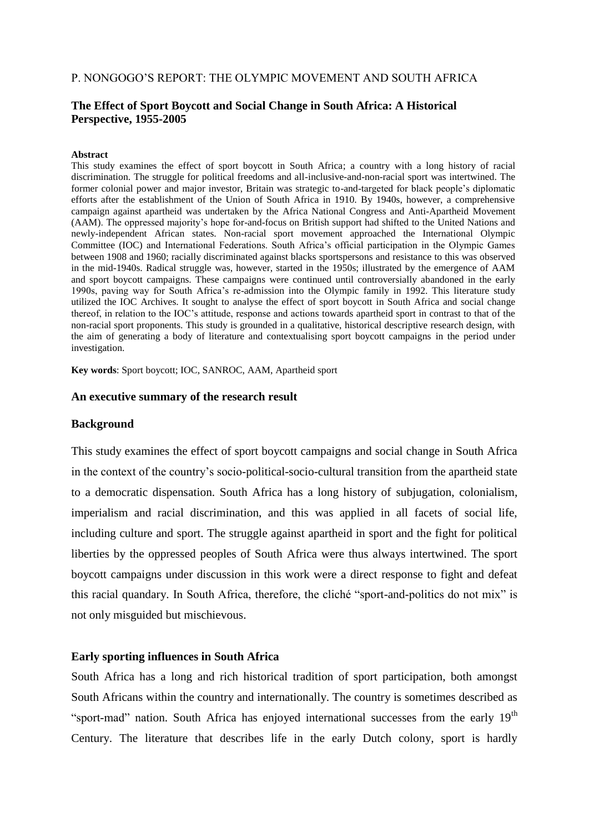### P. NONGOGO"S REPORT: THE OLYMPIC MOVEMENT AND SOUTH AFRICA

### **The Effect of Sport Boycott and Social Change in South Africa: A Historical Perspective, 1955-2005**

#### **Abstract**

This study examines the effect of sport boycott in South Africa; a country with a long history of racial discrimination. The struggle for political freedoms and all-inclusive-and-non-racial sport was intertwined. The former colonial power and major investor, Britain was strategic to-and-targeted for black people"s diplomatic efforts after the establishment of the Union of South Africa in 1910. By 1940s, however, a comprehensive campaign against apartheid was undertaken by the Africa National Congress and Anti-Apartheid Movement (AAM). The oppressed majority"s hope for-and-focus on British support had shifted to the United Nations and newly-independent African states. Non-racial sport movement approached the International Olympic Committee (IOC) and International Federations. South Africa"s official participation in the Olympic Games between 1908 and 1960; racially discriminated against blacks sportspersons and resistance to this was observed in the mid-1940s. Radical struggle was, however, started in the 1950s; illustrated by the emergence of AAM and sport boycott campaigns. These campaigns were continued until controversially abandoned in the early 1990s, paving way for South Africa"s re-admission into the Olympic family in 1992. This literature study utilized the IOC Archives. It sought to analyse the effect of sport boycott in South Africa and social change thereof, in relation to the IOC"s attitude, response and actions towards apartheid sport in contrast to that of the non-racial sport proponents. This study is grounded in a qualitative, historical descriptive research design, with the aim of generating a body of literature and contextualising sport boycott campaigns in the period under investigation.

**Key words**: Sport boycott; IOC, SANROC, AAM, Apartheid sport

### **An executive summary of the research result**

### **Background**

This study examines the effect of sport boycott campaigns and social change in South Africa in the context of the country"s socio-political-socio-cultural transition from the apartheid state to a democratic dispensation. South Africa has a long history of subjugation, colonialism, imperialism and racial discrimination, and this was applied in all facets of social life, including culture and sport. The struggle against apartheid in sport and the fight for political liberties by the oppressed peoples of South Africa were thus always intertwined. The sport boycott campaigns under discussion in this work were a direct response to fight and defeat this racial quandary. In South Africa, therefore, the cliché "sport-and-politics do not mix" is not only misguided but mischievous.

## **Early sporting influences in South Africa**

South Africa has a long and rich historical tradition of sport participation, both amongst South Africans within the country and internationally. The country is sometimes described as "sport-mad" nation. South Africa has enjoyed international successes from the early  $19<sup>th</sup>$ Century. The literature that describes life in the early Dutch colony, sport is hardly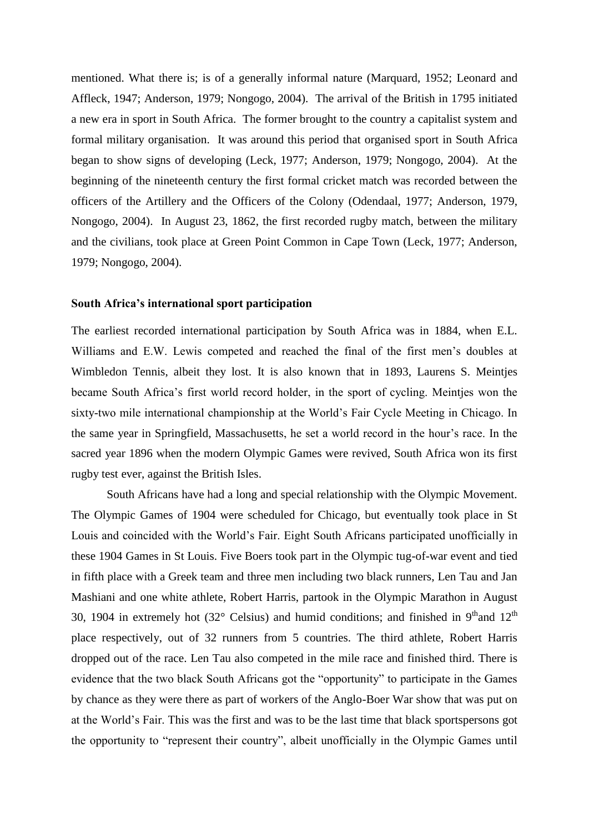mentioned. What there is; is of a generally informal nature (Marquard, 1952; Leonard and Affleck, 1947; Anderson, 1979; Nongogo, 2004). The arrival of the British in 1795 initiated a new era in sport in South Africa. The former brought to the country a capitalist system and formal military organisation. It was around this period that organised sport in South Africa began to show signs of developing (Leck, 1977; Anderson, 1979; Nongogo, 2004). At the beginning of the nineteenth century the first formal cricket match was recorded between the officers of the Artillery and the Officers of the Colony (Odendaal, 1977; Anderson, 1979, Nongogo, 2004). In August 23, 1862, the first recorded rugby match, between the military and the civilians, took place at Green Point Common in Cape Town (Leck, 1977; Anderson, 1979; Nongogo, 2004).

### **South Africa's international sport participation**

The earliest recorded international participation by South Africa was in 1884, when E.L. Williams and E.W. Lewis competed and reached the final of the first men"s doubles at Wimbledon Tennis, albeit they lost. It is also known that in 1893, Laurens S. Meintjes became South Africa"s first world record holder, in the sport of cycling. Meintjes won the sixty-two mile international championship at the World"s Fair Cycle Meeting in Chicago. In the same year in Springfield, Massachusetts, he set a world record in the hour"s race. In the sacred year 1896 when the modern Olympic Games were revived, South Africa won its first rugby test ever, against the British Isles.

South Africans have had a long and special relationship with the Olympic Movement. The Olympic Games of 1904 were scheduled for Chicago, but eventually took place in St Louis and coincided with the World"s Fair. Eight South Africans participated unofficially in these 1904 Games in St Louis. Five Boers took part in the Olympic tug-of-war event and tied in fifth place with a Greek team and three men including two black runners, Len Tau and Jan Mashiani and one white athlete, Robert Harris, partook in the Olympic Marathon in August 30, 1904 in extremely hot (32 $^{\circ}$  Celsius) and humid conditions; and finished in 9<sup>th</sup>and 12<sup>th</sup> place respectively, out of 32 runners from 5 countries. The third athlete, Robert Harris dropped out of the race. Len Tau also competed in the mile race and finished third. There is evidence that the two black South Africans got the "opportunity" to participate in the Games by chance as they were there as part of workers of the Anglo-Boer War show that was put on at the World"s Fair. This was the first and was to be the last time that black sportspersons got the opportunity to "represent their country", albeit unofficially in the Olympic Games until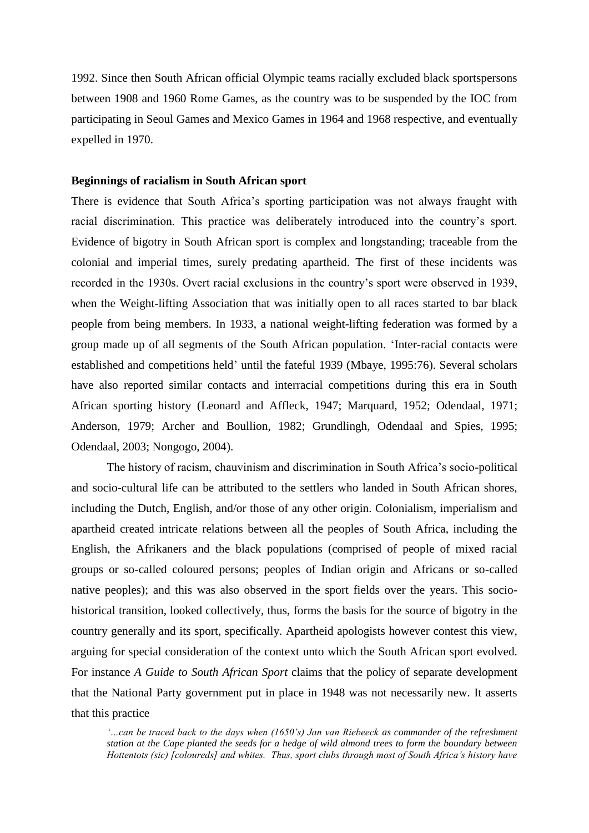1992. Since then South African official Olympic teams racially excluded black sportspersons between 1908 and 1960 Rome Games, as the country was to be suspended by the IOC from participating in Seoul Games and Mexico Games in 1964 and 1968 respective, and eventually expelled in 1970.

### **Beginnings of racialism in South African sport**

There is evidence that South Africa's sporting participation was not always fraught with racial discrimination. This practice was deliberately introduced into the country"s sport. Evidence of bigotry in South African sport is complex and longstanding; traceable from the colonial and imperial times, surely predating apartheid. The first of these incidents was recorded in the 1930s. Overt racial exclusions in the country"s sport were observed in 1939, when the Weight-lifting Association that was initially open to all races started to bar black people from being members. In 1933, a national weight-lifting federation was formed by a group made up of all segments of the South African population. "Inter-racial contacts were established and competitions held" until the fateful 1939 (Mbaye, 1995:76). Several scholars have also reported similar contacts and interracial competitions during this era in South African sporting history (Leonard and Affleck, 1947; Marquard, 1952; Odendaal, 1971; Anderson, 1979; Archer and Boullion, 1982; Grundlingh, Odendaal and Spies, 1995; Odendaal, 2003; Nongogo, 2004).

The history of racism, chauvinism and discrimination in South Africa"s socio-political and socio-cultural life can be attributed to the settlers who landed in South African shores, including the Dutch, English, and/or those of any other origin. Colonialism, imperialism and apartheid created intricate relations between all the peoples of South Africa, including the English, the Afrikaners and the black populations (comprised of people of mixed racial groups or so-called coloured persons; peoples of Indian origin and Africans or so-called native peoples); and this was also observed in the sport fields over the years. This sociohistorical transition, looked collectively, thus, forms the basis for the source of bigotry in the country generally and its sport, specifically. Apartheid apologists however contest this view, arguing for special consideration of the context unto which the South African sport evolved. For instance *A Guide to South African Sport* claims that the policy of separate development that the National Party government put in place in 1948 was not necessarily new. It asserts that this practice

*"…can be traced back to the days when (1650"s) Jan van Riebeeck as commander of the refreshment station at the Cape planted the seeds for a hedge of wild almond trees to form the boundary between Hottentots (sic) [coloureds] and whites. Thus, sport clubs through most of South Africa"s history have*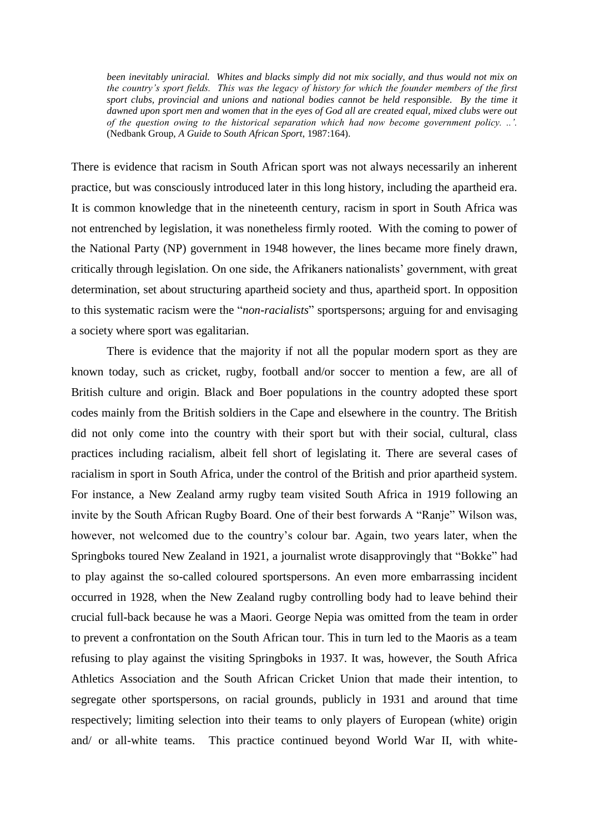*been inevitably uniracial. Whites and blacks simply did not mix socially, and thus would not mix on the country"s sport fields. This was the legacy of history for which the founder members of the first*  sport clubs, provincial and unions and national bodies cannot be held responsible. By the time it *dawned upon sport men and women that in the eyes of God all are created equal, mixed clubs were out of the question owing to the historical separation which had now become government policy. ..".* (Nedbank Group, *A Guide to South African Sport*, 1987:164).

There is evidence that racism in South African sport was not always necessarily an inherent practice, but was consciously introduced later in this long history, including the apartheid era. It is common knowledge that in the nineteenth century, racism in sport in South Africa was not entrenched by legislation, it was nonetheless firmly rooted. With the coming to power of the National Party (NP) government in 1948 however, the lines became more finely drawn, critically through legislation. On one side, the Afrikaners nationalists" government, with great determination, set about structuring apartheid society and thus, apartheid sport. In opposition to this systematic racism were the "*non-racialists*" sportspersons; arguing for and envisaging a society where sport was egalitarian.

There is evidence that the majority if not all the popular modern sport as they are known today, such as cricket, rugby, football and/or soccer to mention a few, are all of British culture and origin. Black and Boer populations in the country adopted these sport codes mainly from the British soldiers in the Cape and elsewhere in the country. The British did not only come into the country with their sport but with their social, cultural, class practices including racialism, albeit fell short of legislating it. There are several cases of racialism in sport in South Africa, under the control of the British and prior apartheid system. For instance, a New Zealand army rugby team visited South Africa in 1919 following an invite by the South African Rugby Board. One of their best forwards A "Ranje" Wilson was, however, not welcomed due to the country"s colour bar. Again, two years later, when the Springboks toured New Zealand in 1921, a journalist wrote disapprovingly that "Bokke" had to play against the so-called coloured sportspersons. An even more embarrassing incident occurred in 1928, when the New Zealand rugby controlling body had to leave behind their crucial full-back because he was a Maori. George Nepia was omitted from the team in order to prevent a confrontation on the South African tour. This in turn led to the Maoris as a team refusing to play against the visiting Springboks in 1937. It was, however, the South Africa Athletics Association and the South African Cricket Union that made their intention, to segregate other sportspersons, on racial grounds, publicly in 1931 and around that time respectively; limiting selection into their teams to only players of European (white) origin and/ or all-white teams. This practice continued beyond World War II, with white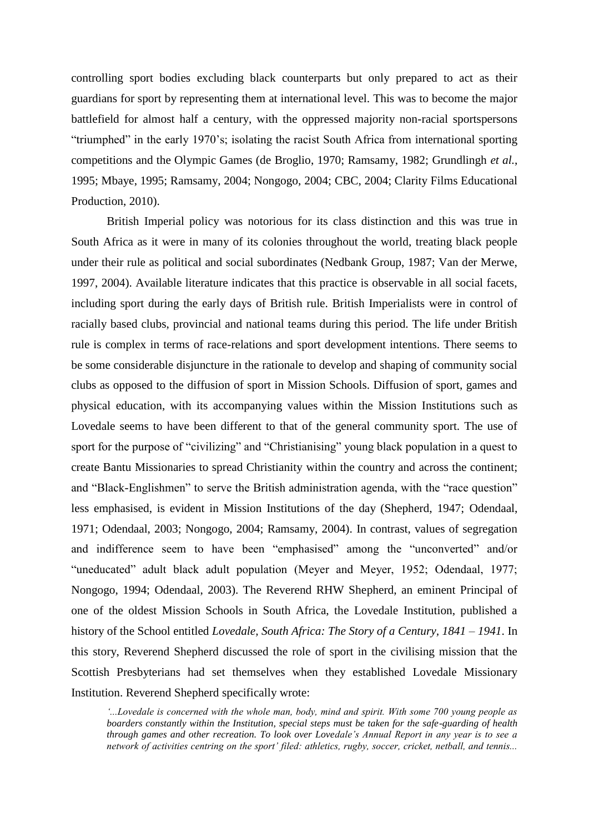controlling sport bodies excluding black counterparts but only prepared to act as their guardians for sport by representing them at international level. This was to become the major battlefield for almost half a century, with the oppressed majority non-racial sportspersons "triumphed" in the early 1970"s; isolating the racist South Africa from international sporting competitions and the Olympic Games (de Broglio, 1970; Ramsamy, 1982; Grundlingh *et al.*, 1995; Mbaye, 1995; Ramsamy, 2004; Nongogo, 2004; CBC, 2004; Clarity Films Educational Production, 2010).

British Imperial policy was notorious for its class distinction and this was true in South Africa as it were in many of its colonies throughout the world, treating black people under their rule as political and social subordinates (Nedbank Group, 1987; Van der Merwe, 1997, 2004). Available literature indicates that this practice is observable in all social facets, including sport during the early days of British rule. British Imperialists were in control of racially based clubs, provincial and national teams during this period. The life under British rule is complex in terms of race-relations and sport development intentions. There seems to be some considerable disjuncture in the rationale to develop and shaping of community social clubs as opposed to the diffusion of sport in Mission Schools. Diffusion of sport, games and physical education, with its accompanying values within the Mission Institutions such as Lovedale seems to have been different to that of the general community sport. The use of sport for the purpose of "civilizing" and "Christianising" young black population in a quest to create Bantu Missionaries to spread Christianity within the country and across the continent; and "Black-Englishmen" to serve the British administration agenda, with the "race question" less emphasised, is evident in Mission Institutions of the day (Shepherd, 1947; Odendaal, 1971; Odendaal, 2003; Nongogo, 2004; Ramsamy, 2004). In contrast, values of segregation and indifference seem to have been "emphasised" among the "unconverted" and/or "uneducated" adult black adult population (Meyer and Meyer, 1952; Odendaal, 1977; Nongogo, 1994; Odendaal, 2003). The Reverend RHW Shepherd, an eminent Principal of one of the oldest Mission Schools in South Africa, the Lovedale Institution, published a history of the School entitled *Lovedale, South Africa: The Story of a Century, 1841 – 1941*. In this story, Reverend Shepherd discussed the role of sport in the civilising mission that the Scottish Presbyterians had set themselves when they established Lovedale Missionary Institution. Reverend Shepherd specifically wrote:

*"...Lovedale is concerned with the whole man, body, mind and spirit. With some 700 young people as boarders constantly within the Institution, special steps must be taken for the safe-guarding of health through games and other recreation. To look over Lovedale"s Annual Report in any year is to see a network of activities centring on the sport" filed: athletics, rugby, soccer, cricket, netball, and tennis...*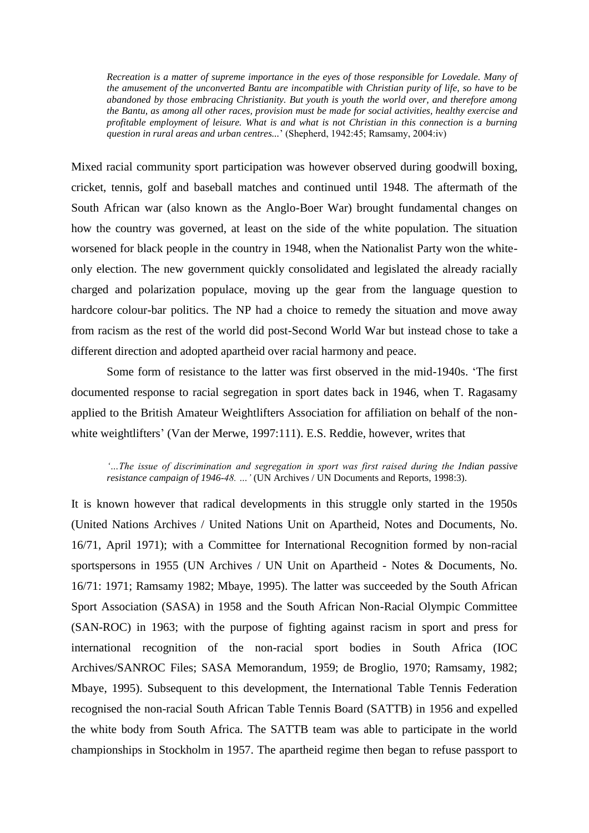*Recreation is a matter of supreme importance in the eyes of those responsible for Lovedale. Many of the amusement of the unconverted Bantu are incompatible with Christian purity of life, so have to be abandoned by those embracing Christianity. But youth is youth the world over, and therefore among the Bantu, as among all other races, provision must be made for social activities, healthy exercise and profitable employment of leisure. What is and what is not Christian in this connection is a burning question in rural areas and urban centres...*" (Shepherd, 1942:45; Ramsamy, 2004:iv)

Mixed racial community sport participation was however observed during goodwill boxing, cricket, tennis, golf and baseball matches and continued until 1948. The aftermath of the South African war (also known as the Anglo-Boer War) brought fundamental changes on how the country was governed, at least on the side of the white population. The situation worsened for black people in the country in 1948, when the Nationalist Party won the whiteonly election. The new government quickly consolidated and legislated the already racially charged and polarization populace, moving up the gear from the language question to hardcore colour-bar politics. The NP had a choice to remedy the situation and move away from racism as the rest of the world did post-Second World War but instead chose to take a different direction and adopted apartheid over racial harmony and peace.

Some form of resistance to the latter was first observed in the mid-1940s. "The first documented response to racial segregation in sport dates back in 1946, when T. Ragasamy applied to the British Amateur Weightlifters Association for affiliation on behalf of the nonwhite weightlifters' (Van der Merwe, 1997:111). E.S. Reddie, however, writes that

*"…The issue of discrimination and segregation in sport was first raised during the Indian passive resistance campaign of 1946-48. ...* '(UN Archives / UN Documents and Reports, 1998:3).

It is known however that radical developments in this struggle only started in the 1950s (United Nations Archives / United Nations Unit on Apartheid, Notes and Documents, No. 16/71, April 1971); with a Committee for International Recognition formed by non-racial sportspersons in 1955 (UN Archives / UN Unit on Apartheid - Notes & Documents, No. 16/71: 1971; Ramsamy 1982; Mbaye, 1995). The latter was succeeded by the South African Sport Association (SASA) in 1958 and the South African Non-Racial Olympic Committee (SAN-ROC) in 1963; with the purpose of fighting against racism in sport and press for international recognition of the non-racial sport bodies in South Africa (IOC Archives/SANROC Files; SASA Memorandum, 1959; de Broglio, 1970; Ramsamy, 1982; Mbaye, 1995). Subsequent to this development, the International Table Tennis Federation recognised the non-racial South African Table Tennis Board (SATTB) in 1956 and expelled the white body from South Africa. The SATTB team was able to participate in the world championships in Stockholm in 1957. The apartheid regime then began to refuse passport to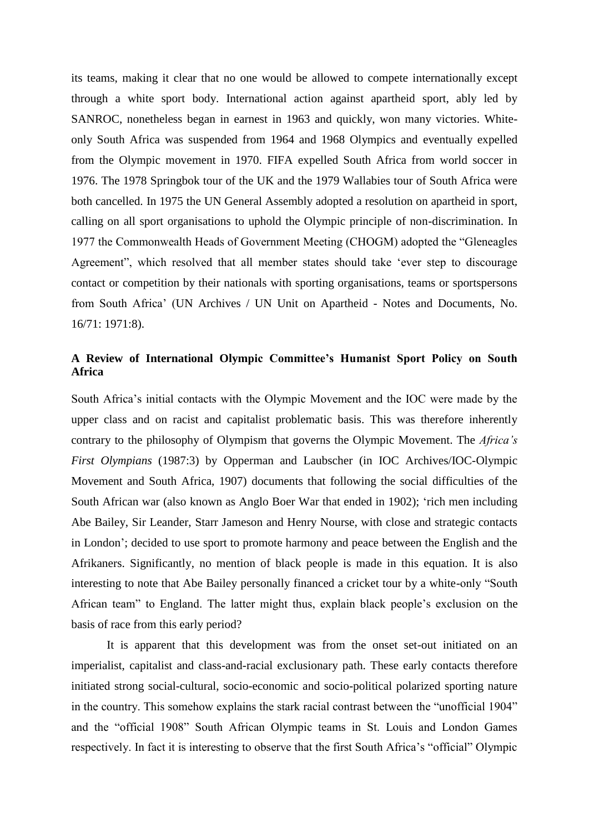its teams, making it clear that no one would be allowed to compete internationally except through a white sport body. International action against apartheid sport, ably led by SANROC, nonetheless began in earnest in 1963 and quickly, won many victories. Whiteonly South Africa was suspended from 1964 and 1968 Olympics and eventually expelled from the Olympic movement in 1970. FIFA expelled South Africa from world soccer in 1976. The 1978 Springbok tour of the UK and the 1979 Wallabies tour of South Africa were both cancelled. In 1975 the UN General Assembly adopted a resolution on apartheid in sport, calling on all sport organisations to uphold the Olympic principle of non-discrimination. In 1977 the Commonwealth Heads of Government Meeting (CHOGM) adopted the "Gleneagles Agreement", which resolved that all member states should take "ever step to discourage contact or competition by their nationals with sporting organisations, teams or sportspersons from South Africa" (UN Archives / UN Unit on Apartheid - Notes and Documents, No. 16/71: 1971:8).

## **A Review of International Olympic Committee's Humanist Sport Policy on South Africa**

South Africa"s initial contacts with the Olympic Movement and the IOC were made by the upper class and on racist and capitalist problematic basis. This was therefore inherently contrary to the philosophy of Olympism that governs the Olympic Movement. The *Africa"s First Olympians* (1987:3) by Opperman and Laubscher (in IOC Archives/IOC-Olympic Movement and South Africa, 1907) documents that following the social difficulties of the South African war (also known as Anglo Boer War that ended in 1902); "rich men including Abe Bailey, Sir Leander, Starr Jameson and Henry Nourse, with close and strategic contacts in London"; decided to use sport to promote harmony and peace between the English and the Afrikaners. Significantly, no mention of black people is made in this equation. It is also interesting to note that Abe Bailey personally financed a cricket tour by a white-only "South African team" to England. The latter might thus, explain black people"s exclusion on the basis of race from this early period?

It is apparent that this development was from the onset set-out initiated on an imperialist, capitalist and class-and-racial exclusionary path. These early contacts therefore initiated strong social-cultural, socio-economic and socio-political polarized sporting nature in the country. This somehow explains the stark racial contrast between the "unofficial 1904" and the "official 1908" South African Olympic teams in St. Louis and London Games respectively. In fact it is interesting to observe that the first South Africa's "official" Olympic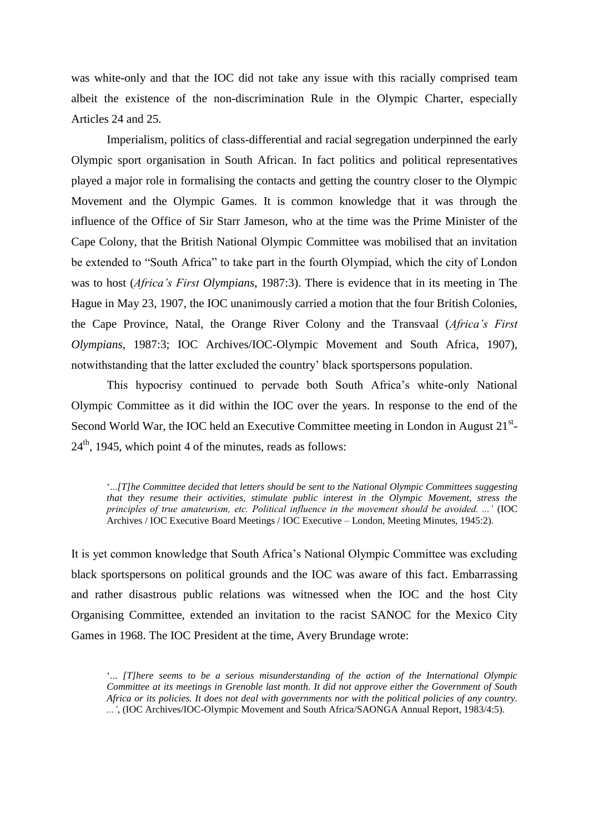was white-only and that the IOC did not take any issue with this racially comprised team albeit the existence of the non-discrimination Rule in the Olympic Charter, especially Articles 24 and 25.

Imperialism, politics of class-differential and racial segregation underpinned the early Olympic sport organisation in South African. In fact politics and political representatives played a major role in formalising the contacts and getting the country closer to the Olympic Movement and the Olympic Games. It is common knowledge that it was through the influence of the Office of Sir Starr Jameson, who at the time was the Prime Minister of the Cape Colony, that the British National Olympic Committee was mobilised that an invitation be extended to "South Africa" to take part in the fourth Olympiad, which the city of London was to host (*Africa"s First Olympians*, 1987:3). There is evidence that in its meeting in The Hague in May 23, 1907, the IOC unanimously carried a motion that the four British Colonies, the Cape Province, Natal, the Orange River Colony and the Transvaal (*Africa"s First Olympians*, 1987:3; IOC Archives/IOC-Olympic Movement and South Africa, 1907), notwithstanding that the latter excluded the country" black sportspersons population.

This hypocrisy continued to pervade both South Africa"s white-only National Olympic Committee as it did within the IOC over the years. In response to the end of the Second World War, the IOC held an Executive Committee meeting in London in August  $21^{st}$ - $24<sup>th</sup>$ , 1945, which point 4 of the minutes, reads as follows:

"...*[T]he Committee decided that letters should be sent to the National Olympic Committees suggesting that they resume their activities, stimulate public interest in the Olympic Movement, stress the principles of true amateurism, etc. Political influence in the movement should be avoided. ..."* (IOC Archives / IOC Executive Board Meetings / IOC Executive – London, Meeting Minutes, 1945:2).

It is yet common knowledge that South Africa"s National Olympic Committee was excluding black sportspersons on political grounds and the IOC was aware of this fact. Embarrassing and rather disastrous public relations was witnessed when the IOC and the host City Organising Committee, extended an invitation to the racist SANOC for the Mexico City Games in 1968. The IOC President at the time, Avery Brundage wrote:

"... *[T]here seems to be a serious misunderstanding of the action of the International Olympic Committee at its meetings in Grenoble last month. It did not approve either the Government of South Africa or its policies. It does not deal with governments nor with the political policies of any country. ..."*, (IOC Archives/IOC-Olympic Movement and South Africa/SAONGA Annual Report, 1983/4:5).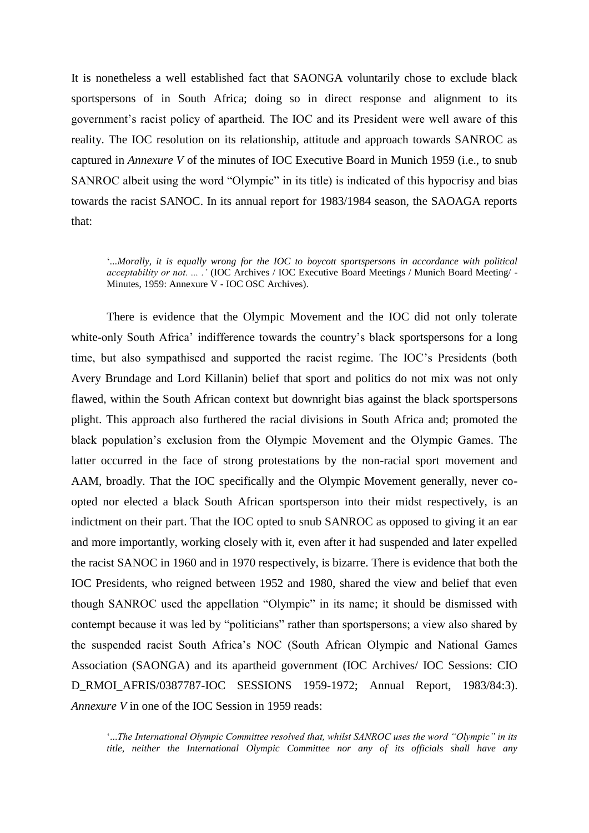It is nonetheless a well established fact that SAONGA voluntarily chose to exclude black sportspersons of in South Africa; doing so in direct response and alignment to its government's racist policy of apartheid. The IOC and its President were well aware of this reality. The IOC resolution on its relationship, attitude and approach towards SANROC as captured in *Annexure V* of the minutes of IOC Executive Board in Munich 1959 (i.e., to snub SANROC albeit using the word "Olympic" in its title) is indicated of this hypocrisy and bias towards the racist SANOC. In its annual report for 1983/1984 season, the SAOAGA reports that:

"*...Morally, it is equally wrong for the IOC to boycott sportspersons in accordance with political acceptability or not. ... ."* (IOC Archives / IOC Executive Board Meetings / Munich Board Meeting/ - Minutes, 1959: Annexure V - IOC OSC Archives).

There is evidence that the Olympic Movement and the IOC did not only tolerate white-only South Africa' indifference towards the country's black sportspersons for a long time, but also sympathised and supported the racist regime. The IOC"s Presidents (both Avery Brundage and Lord Killanin) belief that sport and politics do not mix was not only flawed, within the South African context but downright bias against the black sportspersons plight. This approach also furthered the racial divisions in South Africa and; promoted the black population"s exclusion from the Olympic Movement and the Olympic Games. The latter occurred in the face of strong protestations by the non-racial sport movement and AAM, broadly. That the IOC specifically and the Olympic Movement generally, never coopted nor elected a black South African sportsperson into their midst respectively, is an indictment on their part. That the IOC opted to snub SANROC as opposed to giving it an ear and more importantly, working closely with it, even after it had suspended and later expelled the racist SANOC in 1960 and in 1970 respectively, is bizarre. There is evidence that both the IOC Presidents, who reigned between 1952 and 1980, shared the view and belief that even though SANROC used the appellation "Olympic" in its name; it should be dismissed with contempt because it was led by "politicians" rather than sportspersons; a view also shared by the suspended racist South Africa"s NOC (South African Olympic and National Games Association (SAONGA) and its apartheid government (IOC Archives/ IOC Sessions: CIO D\_RMOI\_AFRIS/0387787-IOC SESSIONS 1959-1972; Annual Report, 1983/84:3). *Annexure V* in one of the IOC Session in 1959 reads:

"...*The International Olympic Committee resolved that, whilst SANROC uses the word "Olympic" in its title, neither the International Olympic Committee nor any of its officials shall have any*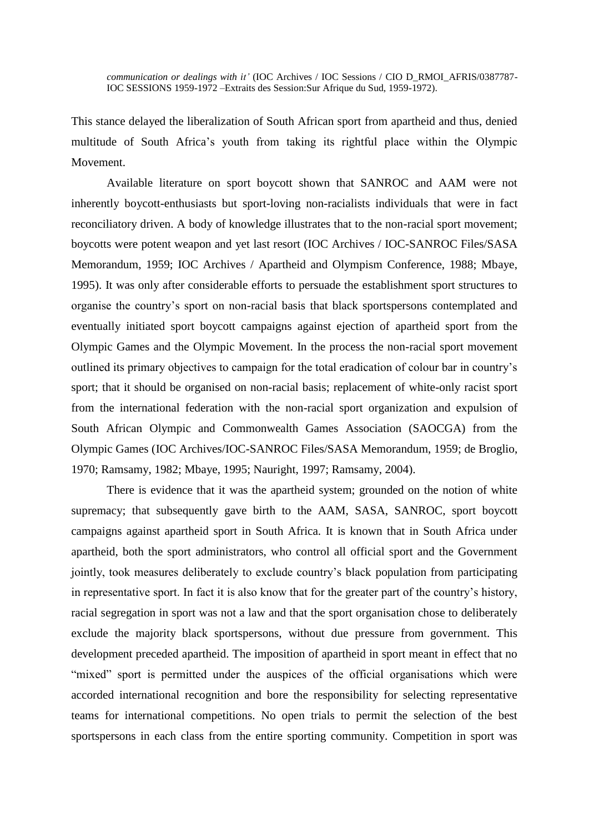*communication or dealings with it"* (IOC Archives / IOC Sessions / CIO D\_RMOI\_AFRIS/0387787- IOC SESSIONS 1959-1972 –Extraits des Session:Sur Afrique du Sud, 1959-1972).

This stance delayed the liberalization of South African sport from apartheid and thus, denied multitude of South Africa"s youth from taking its rightful place within the Olympic Movement.

Available literature on sport boycott shown that SANROC and AAM were not inherently boycott-enthusiasts but sport-loving non-racialists individuals that were in fact reconciliatory driven. A body of knowledge illustrates that to the non-racial sport movement; boycotts were potent weapon and yet last resort (IOC Archives / IOC-SANROC Files/SASA Memorandum, 1959; IOC Archives / Apartheid and Olympism Conference, 1988; Mbaye, 1995). It was only after considerable efforts to persuade the establishment sport structures to organise the country"s sport on non-racial basis that black sportspersons contemplated and eventually initiated sport boycott campaigns against ejection of apartheid sport from the Olympic Games and the Olympic Movement. In the process the non-racial sport movement outlined its primary objectives to campaign for the total eradication of colour bar in country"s sport; that it should be organised on non-racial basis; replacement of white-only racist sport from the international federation with the non-racial sport organization and expulsion of South African Olympic and Commonwealth Games Association (SAOCGA) from the Olympic Games (IOC Archives/IOC-SANROC Files/SASA Memorandum, 1959; de Broglio, 1970; Ramsamy, 1982; Mbaye, 1995; Nauright, 1997; Ramsamy, 2004).

There is evidence that it was the apartheid system; grounded on the notion of white supremacy; that subsequently gave birth to the AAM, SASA, SANROC, sport boycott campaigns against apartheid sport in South Africa. It is known that in South Africa under apartheid, both the sport administrators, who control all official sport and the Government jointly, took measures deliberately to exclude country"s black population from participating in representative sport. In fact it is also know that for the greater part of the country"s history, racial segregation in sport was not a law and that the sport organisation chose to deliberately exclude the majority black sportspersons, without due pressure from government. This development preceded apartheid. The imposition of apartheid in sport meant in effect that no "mixed" sport is permitted under the auspices of the official organisations which were accorded international recognition and bore the responsibility for selecting representative teams for international competitions. No open trials to permit the selection of the best sportspersons in each class from the entire sporting community. Competition in sport was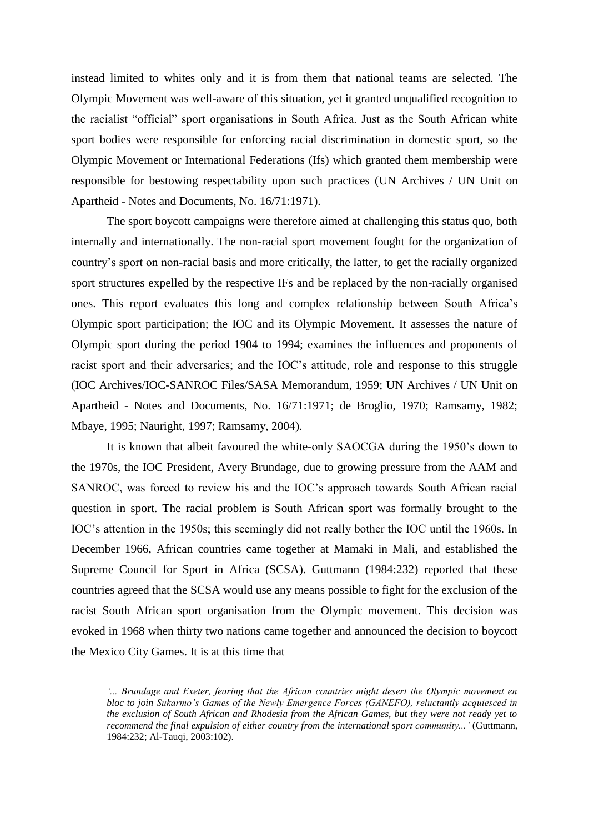instead limited to whites only and it is from them that national teams are selected. The Olympic Movement was well-aware of this situation, yet it granted unqualified recognition to the racialist "official" sport organisations in South Africa. Just as the South African white sport bodies were responsible for enforcing racial discrimination in domestic sport, so the Olympic Movement or International Federations (Ifs) which granted them membership were responsible for bestowing respectability upon such practices (UN Archives / UN Unit on Apartheid - Notes and Documents, No. 16/71:1971).

The sport boycott campaigns were therefore aimed at challenging this status quo, both internally and internationally. The non-racial sport movement fought for the organization of country"s sport on non-racial basis and more critically, the latter, to get the racially organized sport structures expelled by the respective IFs and be replaced by the non-racially organised ones. This report evaluates this long and complex relationship between South Africa"s Olympic sport participation; the IOC and its Olympic Movement. It assesses the nature of Olympic sport during the period 1904 to 1994; examines the influences and proponents of racist sport and their adversaries; and the IOC"s attitude, role and response to this struggle (IOC Archives/IOC-SANROC Files/SASA Memorandum, 1959; UN Archives / UN Unit on Apartheid - Notes and Documents, No. 16/71:1971; de Broglio, 1970; Ramsamy, 1982; Mbaye, 1995; Nauright, 1997; Ramsamy, 2004).

It is known that albeit favoured the white-only SAOCGA during the 1950"s down to the 1970s, the IOC President, Avery Brundage, due to growing pressure from the AAM and SANROC, was forced to review his and the IOC"s approach towards South African racial question in sport. The racial problem is South African sport was formally brought to the IOC"s attention in the 1950s; this seemingly did not really bother the IOC until the 1960s. In December 1966, African countries came together at Mamaki in Mali, and established the Supreme Council for Sport in Africa (SCSA). Guttmann (1984:232) reported that these countries agreed that the SCSA would use any means possible to fight for the exclusion of the racist South African sport organisation from the Olympic movement. This decision was evoked in 1968 when thirty two nations came together and announced the decision to boycott the Mexico City Games. It is at this time that

*"... Brundage and Exeter, fearing that the African countries might desert the Olympic movement en bloc to join Sukarmo"s Games of the Newly Emergence Forces (GANEFO), reluctantly acquiesced in the exclusion of South African and Rhodesia from the African Games, but they were not ready yet to recommend the final expulsion of either country from the international sport community..."* (Guttmann, 1984:232; Al-Tauqi, 2003:102).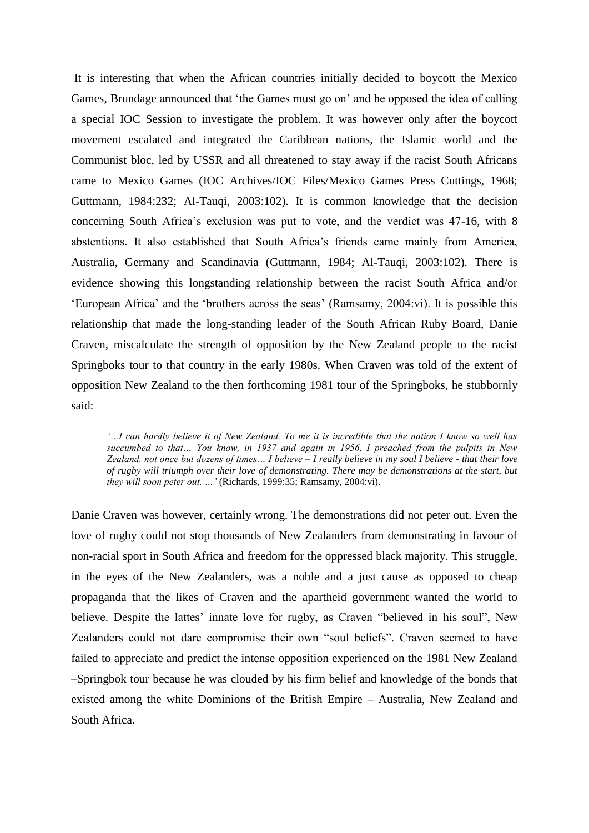It is interesting that when the African countries initially decided to boycott the Mexico Games, Brundage announced that "the Games must go on" and he opposed the idea of calling a special IOC Session to investigate the problem. It was however only after the boycott movement escalated and integrated the Caribbean nations, the Islamic world and the Communist bloc, led by USSR and all threatened to stay away if the racist South Africans came to Mexico Games (IOC Archives/IOC Files/Mexico Games Press Cuttings, 1968; Guttmann, 1984:232; Al-Tauqi, 2003:102). It is common knowledge that the decision concerning South Africa"s exclusion was put to vote, and the verdict was 47-16, with 8 abstentions. It also established that South Africa"s friends came mainly from America, Australia, Germany and Scandinavia (Guttmann, 1984; Al-Tauqi, 2003:102). There is evidence showing this longstanding relationship between the racist South Africa and/or "European Africa" and the "brothers across the seas" (Ramsamy, 2004:vi). It is possible this relationship that made the long-standing leader of the South African Ruby Board, Danie Craven, miscalculate the strength of opposition by the New Zealand people to the racist Springboks tour to that country in the early 1980s. When Craven was told of the extent of opposition New Zealand to the then forthcoming 1981 tour of the Springboks, he stubbornly said:

*"…I can hardly believe it of New Zealand. To me it is incredible that the nation I know so well has succumbed to that… You know, in 1937 and again in 1956, I preached from the pulpits in New Zealand, not once but dozens of times… I believe – I really believe in my soul I believe - that their love of rugby will triumph over their love of demonstrating. There may be demonstrations at the start, but they will soon peter out. …"* (Richards, 1999:35; Ramsamy, 2004:vi).

Danie Craven was however, certainly wrong. The demonstrations did not peter out. Even the love of rugby could not stop thousands of New Zealanders from demonstrating in favour of non-racial sport in South Africa and freedom for the oppressed black majority. This struggle, in the eyes of the New Zealanders, was a noble and a just cause as opposed to cheap propaganda that the likes of Craven and the apartheid government wanted the world to believe. Despite the lattes' innate love for rugby, as Craven "believed in his soul", New Zealanders could not dare compromise their own "soul beliefs". Craven seemed to have failed to appreciate and predict the intense opposition experienced on the 1981 New Zealand –Springbok tour because he was clouded by his firm belief and knowledge of the bonds that existed among the white Dominions of the British Empire – Australia, New Zealand and South Africa.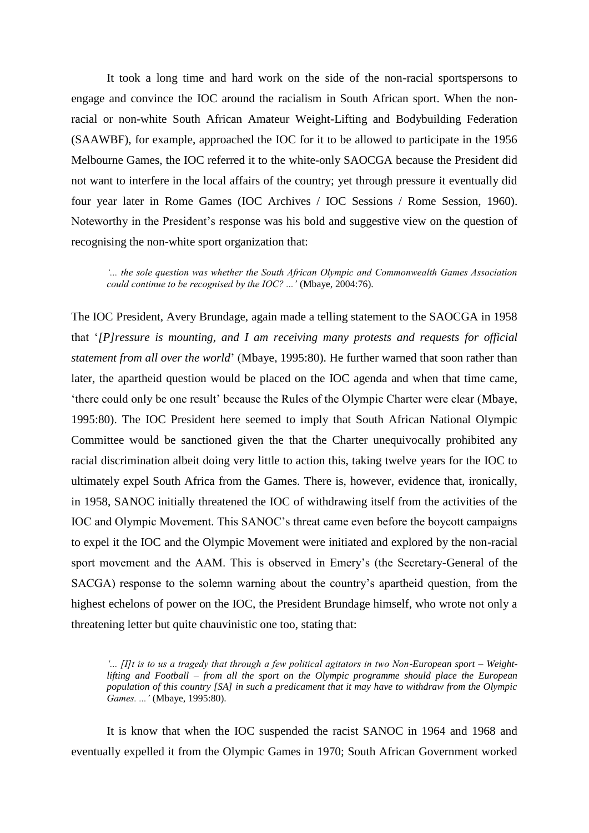It took a long time and hard work on the side of the non-racial sportspersons to engage and convince the IOC around the racialism in South African sport. When the nonracial or non-white South African Amateur Weight-Lifting and Bodybuilding Federation (SAAWBF), for example, approached the IOC for it to be allowed to participate in the 1956 Melbourne Games, the IOC referred it to the white-only SAOCGA because the President did not want to interfere in the local affairs of the country; yet through pressure it eventually did four year later in Rome Games (IOC Archives / IOC Sessions / Rome Session, 1960). Noteworthy in the President"s response was his bold and suggestive view on the question of recognising the non-white sport organization that:

*"... the sole question was whether the South African Olympic and Commonwealth Games Association could continue to be recognised by the IOC? ..."* (Mbaye, 2004:76).

The IOC President, Avery Brundage, again made a telling statement to the SAOCGA in 1958 that "*[P]ressure is mounting, and I am receiving many protests and requests for official statement from all over the world*" (Mbaye, 1995:80). He further warned that soon rather than later, the apartheid question would be placed on the IOC agenda and when that time came, "there could only be one result" because the Rules of the Olympic Charter were clear (Mbaye, 1995:80). The IOC President here seemed to imply that South African National Olympic Committee would be sanctioned given the that the Charter unequivocally prohibited any racial discrimination albeit doing very little to action this, taking twelve years for the IOC to ultimately expel South Africa from the Games. There is, however, evidence that, ironically, in 1958, SANOC initially threatened the IOC of withdrawing itself from the activities of the IOC and Olympic Movement. This SANOC"s threat came even before the boycott campaigns to expel it the IOC and the Olympic Movement were initiated and explored by the non-racial sport movement and the AAM. This is observed in Emery"s (the Secretary-General of the SACGA) response to the solemn warning about the country"s apartheid question, from the highest echelons of power on the IOC, the President Brundage himself, who wrote not only a threatening letter but quite chauvinistic one too, stating that:

*"... [I]t is to us a tragedy that through a few political agitators in two Non-European sport – Weightlifting and Football – from all the sport on the Olympic programme should place the European population of this country [SA] in such a predicament that it may have to withdraw from the Olympic Games. ..."* (Mbaye, 1995:80).

It is know that when the IOC suspended the racist SANOC in 1964 and 1968 and eventually expelled it from the Olympic Games in 1970; South African Government worked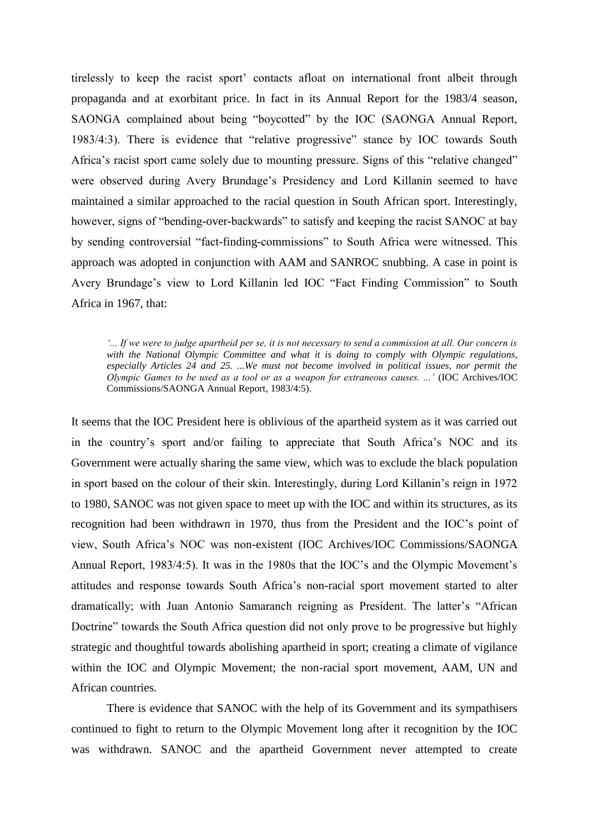tirelessly to keep the racist sport" contacts afloat on international front albeit through propaganda and at exorbitant price. In fact in its Annual Report for the 1983/4 season, SAONGA complained about being "boycotted" by the IOC (SAONGA Annual Report, 1983/4:3). There is evidence that "relative progressive" stance by IOC towards South Africa"s racist sport came solely due to mounting pressure. Signs of this "relative changed" were observed during Avery Brundage's Presidency and Lord Killanin seemed to have maintained a similar approached to the racial question in South African sport. Interestingly, however, signs of "bending-over-backwards" to satisfy and keeping the racist SANOC at bay by sending controversial "fact-finding-commissions" to South Africa were witnessed. This approach was adopted in conjunction with AAM and SANROC snubbing. A case in point is Avery Brundage"s view to Lord Killanin led IOC "Fact Finding Commission" to South Africa in 1967, that:

*"... If we were to judge apartheid per se, it is not necessary to send a commission at all. Our concern is*  with the National Olympic Committee and what it is doing to comply with Olympic regulations, *especially Articles 24 and 25. ...We must not become involved in political issues, nor permit the Olympic Games to be used as a tool or as a weapon for extraneous causes. ..."* (IOC Archives/IOC Commissions/SAONGA Annual Report, 1983/4:5).

It seems that the IOC President here is oblivious of the apartheid system as it was carried out in the country"s sport and/or failing to appreciate that South Africa"s NOC and its Government were actually sharing the same view, which was to exclude the black population in sport based on the colour of their skin. Interestingly, during Lord Killanin's reign in 1972 to 1980, SANOC was not given space to meet up with the IOC and within its structures, as its recognition had been withdrawn in 1970, thus from the President and the IOC"s point of view, South Africa"s NOC was non-existent (IOC Archives/IOC Commissions/SAONGA Annual Report, 1983/4:5). It was in the 1980s that the IOC"s and the Olympic Movement"s attitudes and response towards South Africa"s non-racial sport movement started to alter dramatically; with Juan Antonio Samaranch reigning as President. The latter's "African Doctrine" towards the South Africa question did not only prove to be progressive but highly strategic and thoughtful towards abolishing apartheid in sport; creating a climate of vigilance within the IOC and Olympic Movement; the non-racial sport movement, AAM, UN and African countries.

There is evidence that SANOC with the help of its Government and its sympathisers continued to fight to return to the Olympic Movement long after it recognition by the IOC was withdrawn. SANOC and the apartheid Government never attempted to create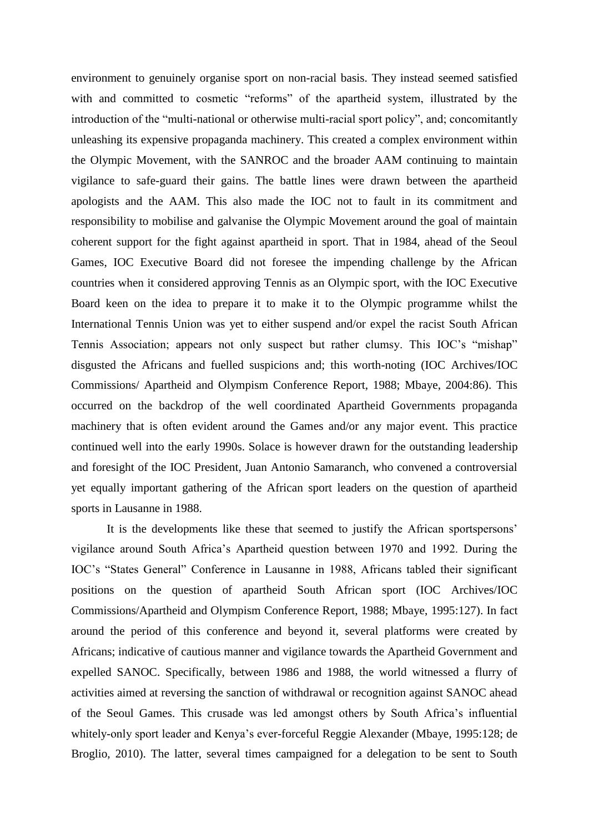environment to genuinely organise sport on non-racial basis. They instead seemed satisfied with and committed to cosmetic "reforms" of the apartheid system, illustrated by the introduction of the "multi-national or otherwise multi-racial sport policy", and; concomitantly unleashing its expensive propaganda machinery. This created a complex environment within the Olympic Movement, with the SANROC and the broader AAM continuing to maintain vigilance to safe-guard their gains. The battle lines were drawn between the apartheid apologists and the AAM. This also made the IOC not to fault in its commitment and responsibility to mobilise and galvanise the Olympic Movement around the goal of maintain coherent support for the fight against apartheid in sport. That in 1984, ahead of the Seoul Games, IOC Executive Board did not foresee the impending challenge by the African countries when it considered approving Tennis as an Olympic sport, with the IOC Executive Board keen on the idea to prepare it to make it to the Olympic programme whilst the International Tennis Union was yet to either suspend and/or expel the racist South African Tennis Association; appears not only suspect but rather clumsy. This IOC"s "mishap" disgusted the Africans and fuelled suspicions and; this worth-noting (IOC Archives/IOC Commissions/ Apartheid and Olympism Conference Report, 1988; Mbaye, 2004:86). This occurred on the backdrop of the well coordinated Apartheid Governments propaganda machinery that is often evident around the Games and/or any major event. This practice continued well into the early 1990s. Solace is however drawn for the outstanding leadership and foresight of the IOC President, Juan Antonio Samaranch, who convened a controversial yet equally important gathering of the African sport leaders on the question of apartheid sports in Lausanne in 1988.

It is the developments like these that seemed to justify the African sportspersons" vigilance around South Africa"s Apartheid question between 1970 and 1992. During the IOC"s "States General" Conference in Lausanne in 1988, Africans tabled their significant positions on the question of apartheid South African sport (IOC Archives/IOC Commissions/Apartheid and Olympism Conference Report, 1988; Mbaye, 1995:127). In fact around the period of this conference and beyond it, several platforms were created by Africans; indicative of cautious manner and vigilance towards the Apartheid Government and expelled SANOC. Specifically, between 1986 and 1988, the world witnessed a flurry of activities aimed at reversing the sanction of withdrawal or recognition against SANOC ahead of the Seoul Games. This crusade was led amongst others by South Africa"s influential whitely-only sport leader and Kenya"s ever-forceful Reggie Alexander (Mbaye, 1995:128; de Broglio, 2010). The latter, several times campaigned for a delegation to be sent to South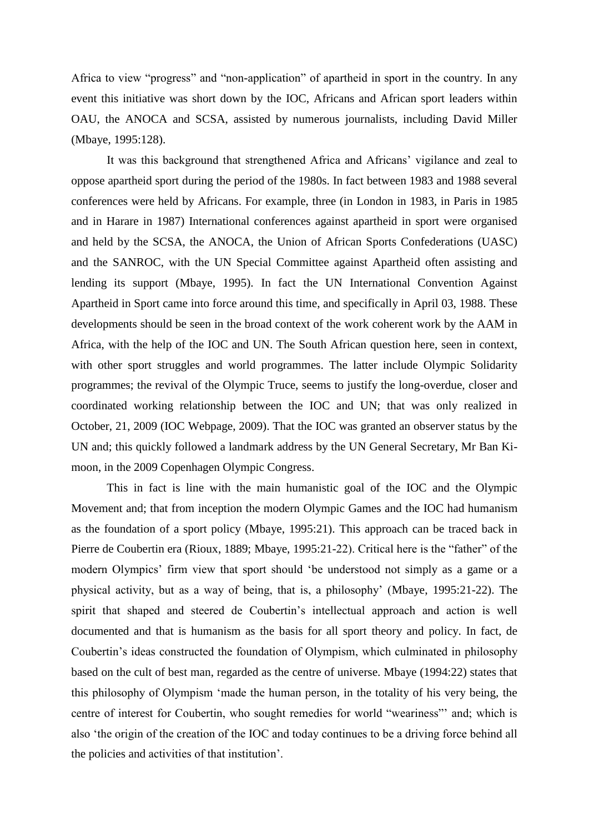Africa to view "progress" and "non-application" of apartheid in sport in the country. In any event this initiative was short down by the IOC, Africans and African sport leaders within OAU, the ANOCA and SCSA, assisted by numerous journalists, including David Miller (Mbaye, 1995:128).

It was this background that strengthened Africa and Africans" vigilance and zeal to oppose apartheid sport during the period of the 1980s. In fact between 1983 and 1988 several conferences were held by Africans. For example, three (in London in 1983, in Paris in 1985 and in Harare in 1987) International conferences against apartheid in sport were organised and held by the SCSA, the ANOCA, the Union of African Sports Confederations (UASC) and the SANROC, with the UN Special Committee against Apartheid often assisting and lending its support (Mbaye, 1995). In fact the UN International Convention Against Apartheid in Sport came into force around this time, and specifically in April 03, 1988. These developments should be seen in the broad context of the work coherent work by the AAM in Africa, with the help of the IOC and UN. The South African question here, seen in context, with other sport struggles and world programmes. The latter include Olympic Solidarity programmes; the revival of the Olympic Truce, seems to justify the long-overdue, closer and coordinated working relationship between the IOC and UN; that was only realized in October, 21, 2009 (IOC Webpage, 2009). That the IOC was granted an observer status by the UN and; this quickly followed a landmark address by the UN General Secretary, Mr Ban Kimoon, in the 2009 Copenhagen Olympic Congress.

This in fact is line with the main humanistic goal of the IOC and the Olympic Movement and; that from inception the modern Olympic Games and the IOC had humanism as the foundation of a sport policy (Mbaye, 1995:21). This approach can be traced back in Pierre de Coubertin era (Rioux, 1889; Mbaye, 1995:21-22). Critical here is the "father" of the modern Olympics" firm view that sport should "be understood not simply as a game or a physical activity, but as a way of being, that is, a philosophy" (Mbaye, 1995:21-22). The spirit that shaped and steered de Coubertin"s intellectual approach and action is well documented and that is humanism as the basis for all sport theory and policy. In fact, de Coubertin"s ideas constructed the foundation of Olympism, which culminated in philosophy based on the cult of best man, regarded as the centre of universe. Mbaye (1994:22) states that this philosophy of Olympism "made the human person, in the totality of his very being, the centre of interest for Coubertin, who sought remedies for world "weariness"" and; which is also "the origin of the creation of the IOC and today continues to be a driving force behind all the policies and activities of that institution".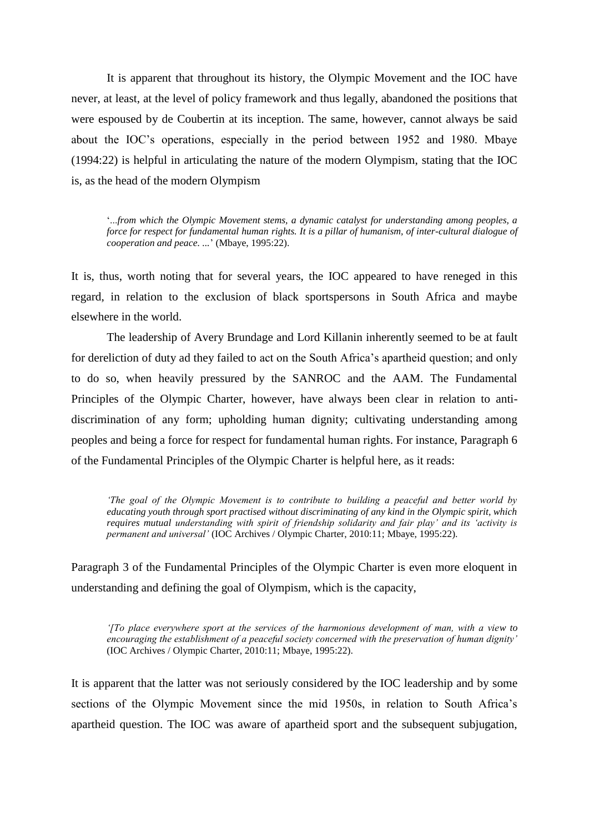It is apparent that throughout its history, the Olympic Movement and the IOC have never, at least, at the level of policy framework and thus legally, abandoned the positions that were espoused by de Coubertin at its inception. The same, however, cannot always be said about the IOC"s operations, especially in the period between 1952 and 1980. Mbaye (1994:22) is helpful in articulating the nature of the modern Olympism, stating that the IOC is, as the head of the modern Olympism

"...*from which the Olympic Movement stems, a dynamic catalyst for understanding among peoples, a force for respect for fundamental human rights. It is a pillar of humanism, of inter-cultural dialogue of cooperation and peace. ...*" (Mbaye, 1995:22).

It is, thus, worth noting that for several years, the IOC appeared to have reneged in this regard, in relation to the exclusion of black sportspersons in South Africa and maybe elsewhere in the world.

The leadership of Avery Brundage and Lord Killanin inherently seemed to be at fault for dereliction of duty ad they failed to act on the South Africa"s apartheid question; and only to do so, when heavily pressured by the SANROC and the AAM. The Fundamental Principles of the Olympic Charter, however, have always been clear in relation to antidiscrimination of any form; upholding human dignity; cultivating understanding among peoples and being a force for respect for fundamental human rights. For instance, Paragraph 6 of the Fundamental Principles of the Olympic Charter is helpful here, as it reads:

*"The goal of the Olympic Movement is to contribute to building a peaceful and better world by educating youth through sport practised without discriminating of any kind in the Olympic spirit, which requires mutual understanding with spirit of friendship solidarity and fair play" and its "activity is permanent and universal"* (IOC Archives / Olympic Charter, 2010:11; Mbaye, 1995:22).

Paragraph 3 of the Fundamental Principles of the Olympic Charter is even more eloquent in understanding and defining the goal of Olympism, which is the capacity,

*"[To place everywhere sport at the services of the harmonious development of man, with a view to encouraging the establishment of a peaceful society concerned with the preservation of human dignity"*  (IOC Archives / Olympic Charter, 2010:11; Mbaye, 1995:22).

It is apparent that the latter was not seriously considered by the IOC leadership and by some sections of the Olympic Movement since the mid 1950s, in relation to South Africa's apartheid question. The IOC was aware of apartheid sport and the subsequent subjugation,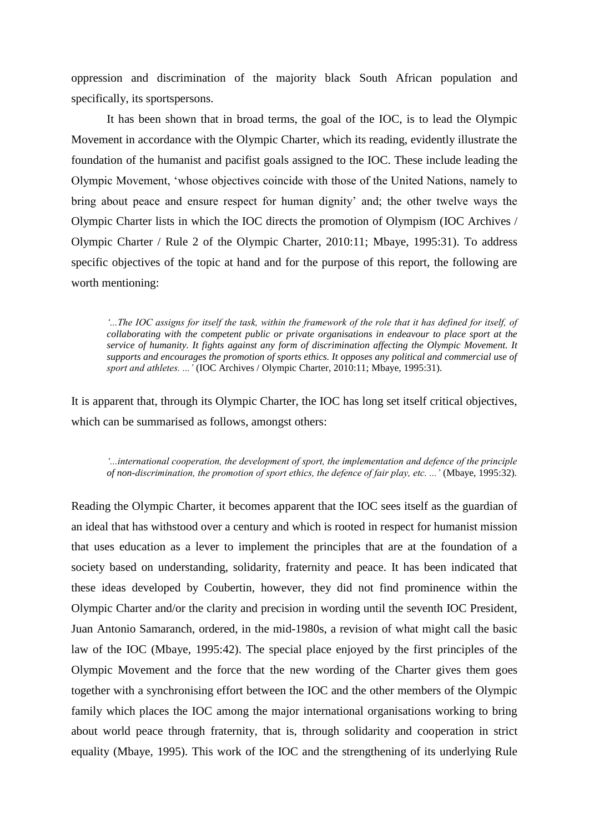oppression and discrimination of the majority black South African population and specifically, its sportspersons.

It has been shown that in broad terms, the goal of the IOC, is to lead the Olympic Movement in accordance with the Olympic Charter, which its reading, evidently illustrate the foundation of the humanist and pacifist goals assigned to the IOC. These include leading the Olympic Movement, "whose objectives coincide with those of the United Nations, namely to bring about peace and ensure respect for human dignity" and; the other twelve ways the Olympic Charter lists in which the IOC directs the promotion of Olympism (IOC Archives / Olympic Charter / Rule 2 of the Olympic Charter, 2010:11; Mbaye, 1995:31). To address specific objectives of the topic at hand and for the purpose of this report, the following are worth mentioning:

*"...The IOC assigns for itself the task, within the framework of the role that it has defined for itself, of collaborating with the competent public or private organisations in endeavour to place sport at the service of humanity. It fights against any form of discrimination affecting the Olympic Movement. It supports and encourages the promotion of sports ethics. It opposes any political and commercial use of sport and athletes. ..."* (IOC Archives / Olympic Charter, 2010:11; Mbaye, 1995:31).

It is apparent that, through its Olympic Charter, the IOC has long set itself critical objectives, which can be summarised as follows, amongst others:

*"...international cooperation, the development of sport, the implementation and defence of the principle of non-discrimination, the promotion of sport ethics, the defence of fair play, etc. ..."* (Mbaye, 1995:32).

Reading the Olympic Charter, it becomes apparent that the IOC sees itself as the guardian of an ideal that has withstood over a century and which is rooted in respect for humanist mission that uses education as a lever to implement the principles that are at the foundation of a society based on understanding, solidarity, fraternity and peace. It has been indicated that these ideas developed by Coubertin, however, they did not find prominence within the Olympic Charter and/or the clarity and precision in wording until the seventh IOC President, Juan Antonio Samaranch, ordered, in the mid-1980s, a revision of what might call the basic law of the IOC (Mbaye, 1995:42). The special place enjoyed by the first principles of the Olympic Movement and the force that the new wording of the Charter gives them goes together with a synchronising effort between the IOC and the other members of the Olympic family which places the IOC among the major international organisations working to bring about world peace through fraternity, that is, through solidarity and cooperation in strict equality (Mbaye, 1995). This work of the IOC and the strengthening of its underlying Rule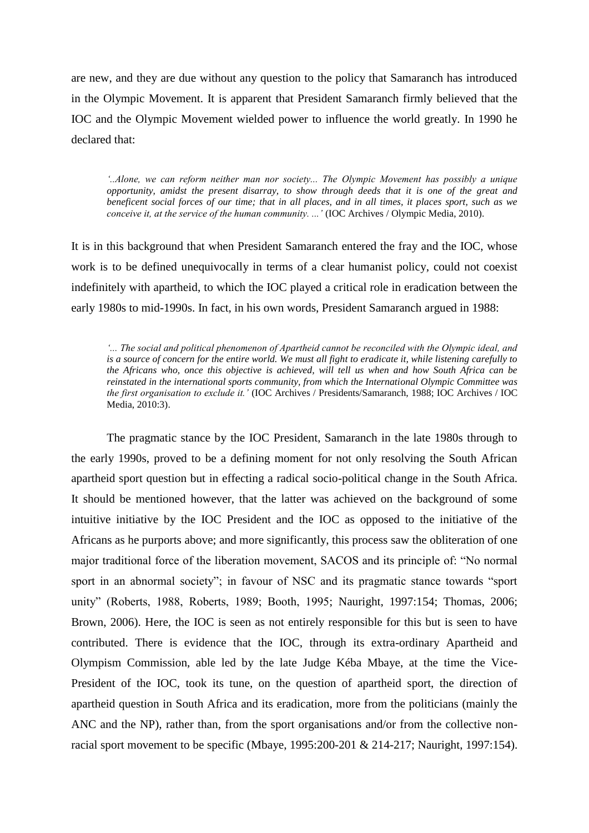are new, and they are due without any question to the policy that Samaranch has introduced in the Olympic Movement. It is apparent that President Samaranch firmly believed that the IOC and the Olympic Movement wielded power to influence the world greatly. In 1990 he declared that:

*"..Alone, we can reform neither man nor society... The Olympic Movement has possibly a unique opportunity, amidst the present disarray, to show through deeds that it is one of the great and beneficent social forces of our time; that in all places, and in all times, it places sport, such as we conceive it, at the service of the human community....'* (IOC Archives / Olympic Media, 2010).

It is in this background that when President Samaranch entered the fray and the IOC, whose work is to be defined unequivocally in terms of a clear humanist policy, could not coexist indefinitely with apartheid, to which the IOC played a critical role in eradication between the early 1980s to mid-1990s. In fact, in his own words, President Samaranch argued in 1988:

*"... The social and political phenomenon of Apartheid cannot be reconciled with the Olympic ideal, and is a source of concern for the entire world. We must all fight to eradicate it, while listening carefully to the Africans who, once this objective is achieved, will tell us when and how South Africa can be reinstated in the international sports community, from which the International Olympic Committee was the first organisation to exclude it."* (IOC Archives / Presidents/Samaranch, 1988; IOC Archives / IOC Media, 2010:3).

The pragmatic stance by the IOC President, Samaranch in the late 1980s through to the early 1990s, proved to be a defining moment for not only resolving the South African apartheid sport question but in effecting a radical socio-political change in the South Africa. It should be mentioned however, that the latter was achieved on the background of some intuitive initiative by the IOC President and the IOC as opposed to the initiative of the Africans as he purports above; and more significantly, this process saw the obliteration of one major traditional force of the liberation movement, SACOS and its principle of: "No normal sport in an abnormal society"; in favour of NSC and its pragmatic stance towards "sport unity" (Roberts, 1988, Roberts, 1989; Booth, 1995; Nauright, 1997:154; Thomas, 2006; Brown, 2006). Here, the IOC is seen as not entirely responsible for this but is seen to have contributed. There is evidence that the IOC, through its extra-ordinary Apartheid and Olympism Commission, able led by the late Judge Kéba Mbaye, at the time the Vice-President of the IOC, took its tune, on the question of apartheid sport, the direction of apartheid question in South Africa and its eradication, more from the politicians (mainly the ANC and the NP), rather than, from the sport organisations and/or from the collective nonracial sport movement to be specific (Mbaye, 1995:200-201 & 214-217; Nauright, 1997:154).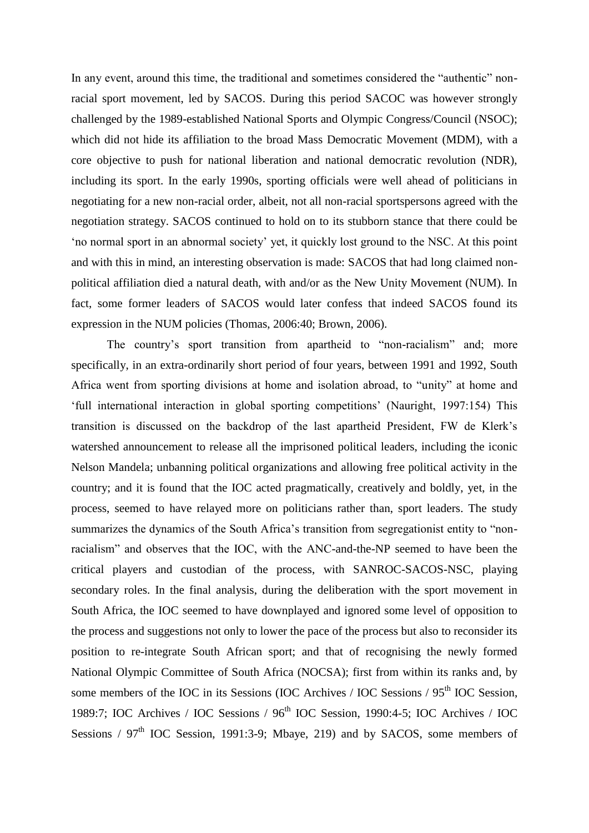In any event, around this time, the traditional and sometimes considered the "authentic" nonracial sport movement, led by SACOS. During this period SACOC was however strongly challenged by the 1989-established National Sports and Olympic Congress/Council (NSOC); which did not hide its affiliation to the broad Mass Democratic Movement (MDM), with a core objective to push for national liberation and national democratic revolution (NDR), including its sport. In the early 1990s, sporting officials were well ahead of politicians in negotiating for a new non-racial order, albeit, not all non-racial sportspersons agreed with the negotiation strategy. SACOS continued to hold on to its stubborn stance that there could be "no normal sport in an abnormal society" yet, it quickly lost ground to the NSC. At this point and with this in mind, an interesting observation is made: SACOS that had long claimed nonpolitical affiliation died a natural death, with and/or as the New Unity Movement (NUM). In fact, some former leaders of SACOS would later confess that indeed SACOS found its expression in the NUM policies (Thomas, 2006:40; Brown, 2006).

The country's sport transition from apartheid to "non-racialism" and; more specifically, in an extra-ordinarily short period of four years, between 1991 and 1992, South Africa went from sporting divisions at home and isolation abroad, to "unity" at home and "full international interaction in global sporting competitions" (Nauright, 1997:154) This transition is discussed on the backdrop of the last apartheid President, FW de Klerk"s watershed announcement to release all the imprisoned political leaders, including the iconic Nelson Mandela; unbanning political organizations and allowing free political activity in the country; and it is found that the IOC acted pragmatically, creatively and boldly, yet, in the process, seemed to have relayed more on politicians rather than, sport leaders. The study summarizes the dynamics of the South Africa's transition from segregationist entity to "nonracialism" and observes that the IOC, with the ANC-and-the-NP seemed to have been the critical players and custodian of the process, with SANROC-SACOS-NSC, playing secondary roles. In the final analysis, during the deliberation with the sport movement in South Africa, the IOC seemed to have downplayed and ignored some level of opposition to the process and suggestions not only to lower the pace of the process but also to reconsider its position to re-integrate South African sport; and that of recognising the newly formed National Olympic Committee of South Africa (NOCSA); first from within its ranks and, by some members of the IOC in its Sessions (IOC Archives / IOC Sessions / 95<sup>th</sup> IOC Session, 1989:7; IOC Archives / IOC Sessions / 96th IOC Session, 1990:4-5; IOC Archives / IOC Sessions /  $97<sup>th</sup>$  IOC Session, 1991:3-9; Mbaye, 219) and by SACOS, some members of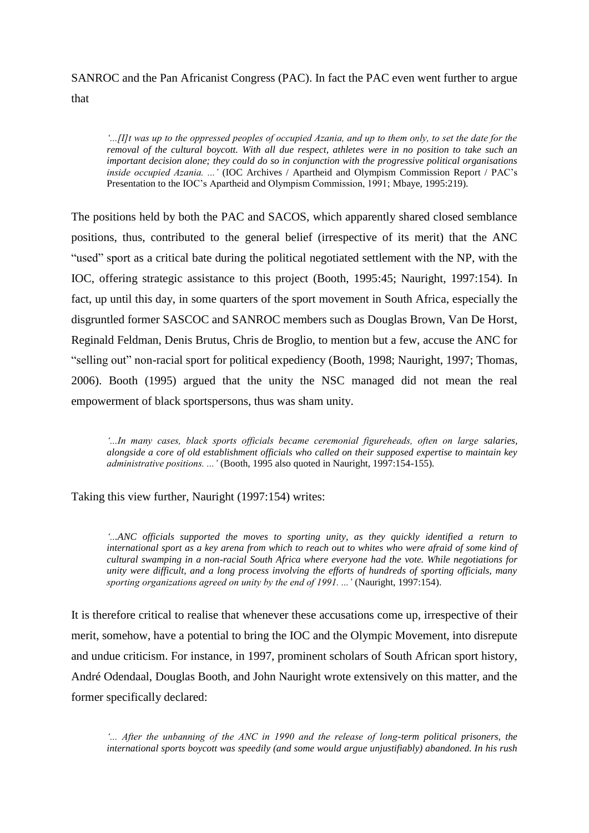# SANROC and the Pan Africanist Congress (PAC). In fact the PAC even went further to argue

that

*"...[I]t was up to the oppressed peoples of occupied Azania, and up to them only, to set the date for the removal of the cultural boycott. With all due respect, athletes were in no position to take such an important decision alone; they could do so in conjunction with the progressive political organisations inside occupied Azania. ..."* (IOC Archives / Apartheid and Olympism Commission Report / PAC"s Presentation to the IOC"s Apartheid and Olympism Commission, 1991; Mbaye, 1995:219).

The positions held by both the PAC and SACOS, which apparently shared closed semblance positions, thus, contributed to the general belief (irrespective of its merit) that the ANC "used" sport as a critical bate during the political negotiated settlement with the NP, with the IOC, offering strategic assistance to this project (Booth, 1995:45; Nauright, 1997:154). In fact, up until this day, in some quarters of the sport movement in South Africa, especially the disgruntled former SASCOC and SANROC members such as Douglas Brown, Van De Horst, Reginald Feldman, Denis Brutus, Chris de Broglio, to mention but a few, accuse the ANC for "selling out" non-racial sport for political expediency (Booth, 1998; Nauright, 1997; Thomas, 2006). Booth (1995) argued that the unity the NSC managed did not mean the real empowerment of black sportspersons, thus was sham unity.

*"...In many cases, black sports officials became ceremonial figureheads, often on large salaries, alongside a core of old establishment officials who called on their supposed expertise to maintain key administrative positions. ..."* (Booth, 1995 also quoted in Nauright, 1997:154-155)*.*

Taking this view further, Nauright (1997:154) writes:

*"...ANC officials supported the moves to sporting unity, as they quickly identified a return to*  international sport as a key arena from which to reach out to whites who were afraid of some kind of *cultural swamping in a non-racial South Africa where everyone had the vote. While negotiations for unity were difficult, and a long process involving the efforts of hundreds of sporting officials, many sporting organizations agreed on unity by the end of 1991. ..."* (Nauright, 1997:154).

It is therefore critical to realise that whenever these accusations come up, irrespective of their merit, somehow, have a potential to bring the IOC and the Olympic Movement, into disrepute and undue criticism. For instance, in 1997, prominent scholars of South African sport history, André Odendaal, Douglas Booth, and John Nauright wrote extensively on this matter, and the former specifically declared:

*"... After the unbanning of the ANC in 1990 and the release of long-term political prisoners, the international sports boycott was speedily (and some would argue unjustifiably) abandoned. In his rush*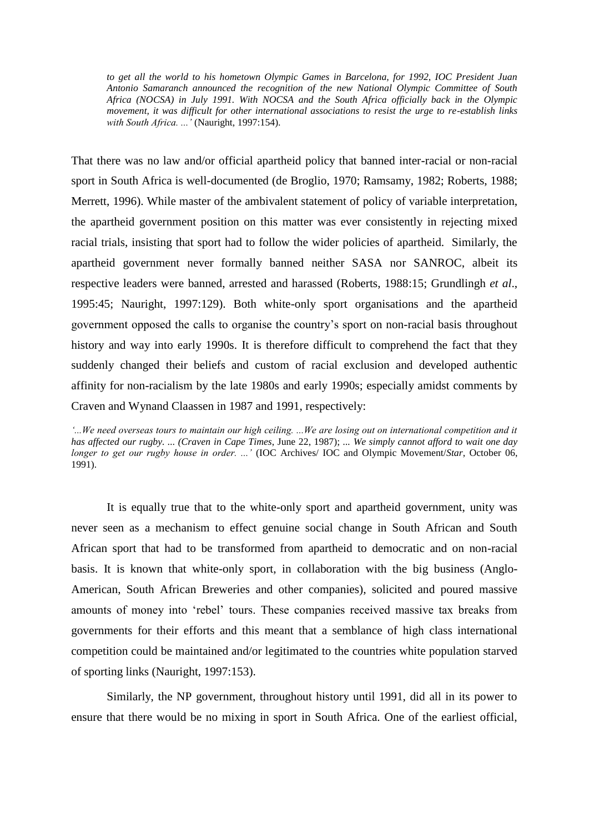*to get all the world to his hometown Olympic Games in Barcelona, for 1992, IOC President Juan Antonio Samaranch announced the recognition of the new National Olympic Committee of South Africa (NOCSA) in July 1991. With NOCSA and the South Africa officially back in the Olympic movement, it was difficult for other international associations to resist the urge to re-establish links with South Africa. ..."* (Nauright, 1997:154).

That there was no law and/or official apartheid policy that banned inter-racial or non-racial sport in South Africa is well-documented (de Broglio, 1970; Ramsamy, 1982; Roberts, 1988; Merrett, 1996). While master of the ambivalent statement of policy of variable interpretation, the apartheid government position on this matter was ever consistently in rejecting mixed racial trials, insisting that sport had to follow the wider policies of apartheid. Similarly, the apartheid government never formally banned neither SASA nor SANROC, albeit its respective leaders were banned, arrested and harassed (Roberts, 1988:15; Grundlingh *et al*., 1995:45; Nauright, 1997:129). Both white-only sport organisations and the apartheid government opposed the calls to organise the country"s sport on non-racial basis throughout history and way into early 1990s. It is therefore difficult to comprehend the fact that they suddenly changed their beliefs and custom of racial exclusion and developed authentic affinity for non-racialism by the late 1980s and early 1990s; especially amidst comments by Craven and Wynand Claassen in 1987 and 1991, respectively:

It is equally true that to the white-only sport and apartheid government, unity was never seen as a mechanism to effect genuine social change in South African and South African sport that had to be transformed from apartheid to democratic and on non-racial basis. It is known that white-only sport, in collaboration with the big business (Anglo-American, South African Breweries and other companies), solicited and poured massive amounts of money into "rebel" tours. These companies received massive tax breaks from governments for their efforts and this meant that a semblance of high class international competition could be maintained and/or legitimated to the countries white population starved of sporting links (Nauright, 1997:153).

Similarly, the NP government, throughout history until 1991, did all in its power to ensure that there would be no mixing in sport in South Africa. One of the earliest official,

*<sup>&</sup>quot;...We need overseas tours to maintain our high ceiling. ...We are losing out on international competition and it has affected our rugby. ... (Craven in Cape Times*, June 22, 1987); *... We simply cannot afford to wait one day longer to get our rugby house in order. ...'* (IOC Archives/ IOC and Olympic Movement/*Star*, October 06, 1991).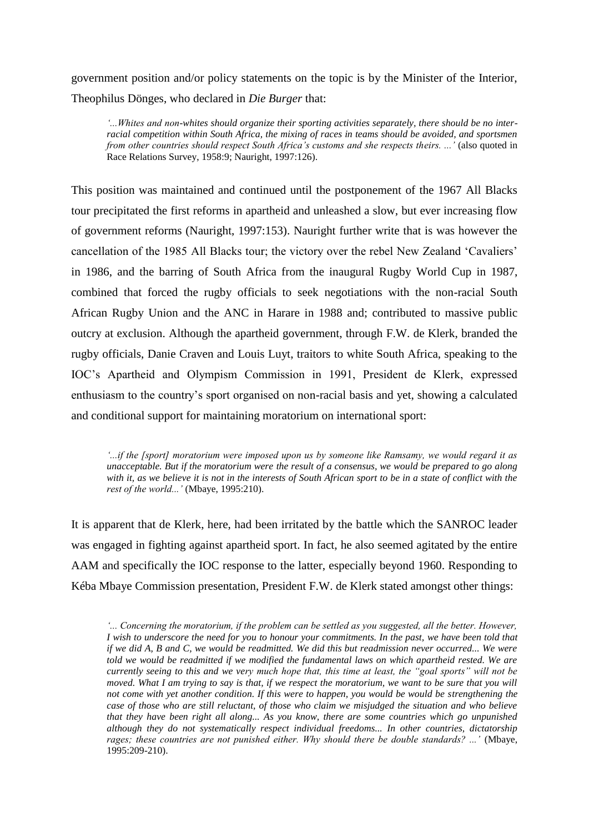government position and/or policy statements on the topic is by the Minister of the Interior, Theophilus Dönges, who declared in *Die Burger* that:

*"...Whites and non-whites should organize their sporting activities separately, there should be no interracial competition within South Africa, the mixing of races in teams should be avoided, and sportsmen from other countries should respect South Africa"s customs and she respects theirs. ..."* (also quoted in Race Relations Survey, 1958:9; Nauright, 1997:126).

This position was maintained and continued until the postponement of the 1967 All Blacks tour precipitated the first reforms in apartheid and unleashed a slow, but ever increasing flow of government reforms (Nauright, 1997:153). Nauright further write that is was however the cancellation of the 1985 All Blacks tour; the victory over the rebel New Zealand "Cavaliers" in 1986, and the barring of South Africa from the inaugural Rugby World Cup in 1987, combined that forced the rugby officials to seek negotiations with the non-racial South African Rugby Union and the ANC in Harare in 1988 and; contributed to massive public outcry at exclusion. Although the apartheid government, through F.W. de Klerk, branded the rugby officials, Danie Craven and Louis Luyt, traitors to white South Africa, speaking to the IOC"s Apartheid and Olympism Commission in 1991, President de Klerk, expressed enthusiasm to the country"s sport organised on non-racial basis and yet, showing a calculated and conditional support for maintaining moratorium on international sport:

*"...if the [sport] moratorium were imposed upon us by someone like Ramsamy, we would regard it as unacceptable. But if the moratorium were the result of a consensus, we would be prepared to go along with it, as we believe it is not in the interests of South African sport to be in a state of conflict with the rest of the world..."* (Mbaye, 1995:210).

It is apparent that de Klerk, here, had been irritated by the battle which the SANROC leader was engaged in fighting against apartheid sport. In fact, he also seemed agitated by the entire AAM and specifically the IOC response to the latter, especially beyond 1960. Responding to Kéba Mbaye Commission presentation, President F.W. de Klerk stated amongst other things:

*"... Concerning the moratorium, if the problem can be settled as you suggested, all the better. However, I wish to underscore the need for you to honour your commitments. In the past, we have been told that if we did A, B and C, we would be readmitted. We did this but readmission never occurred... We were told we would be readmitted if we modified the fundamental laws on which apartheid rested. We are currently seeing to this and we very much hope that, this time at least, the "goal sports" will not be moved. What I am trying to say is that, if we respect the moratorium, we want to be sure that you will not come with yet another condition. If this were to happen, you would be would be strengthening the case of those who are still reluctant, of those who claim we misjudged the situation and who believe that they have been right all along... As you know, there are some countries which go unpunished although they do not systematically respect individual freedoms... In other countries, dictatorship rages; these countries are not punished either. Why should there be double standards? ..."* (Mbaye, 1995:209-210).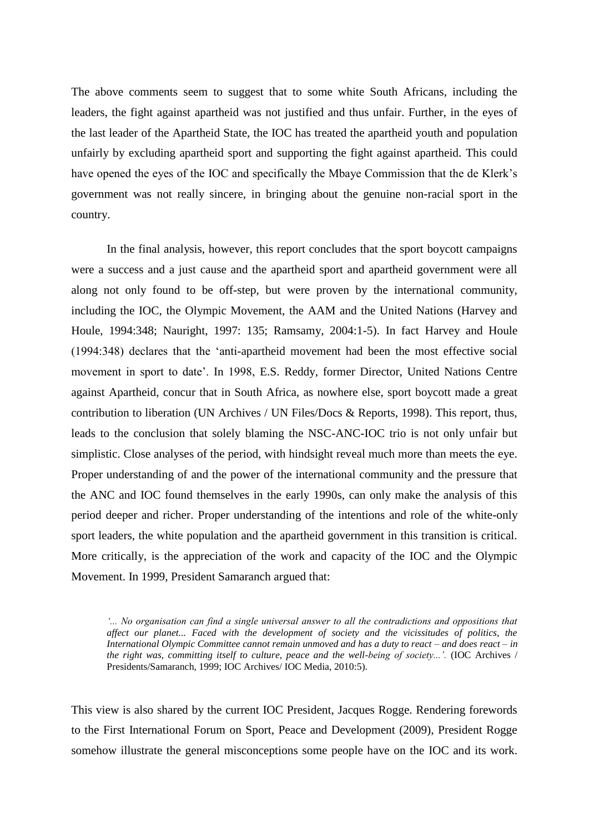The above comments seem to suggest that to some white South Africans, including the leaders, the fight against apartheid was not justified and thus unfair. Further, in the eyes of the last leader of the Apartheid State, the IOC has treated the apartheid youth and population unfairly by excluding apartheid sport and supporting the fight against apartheid. This could have opened the eyes of the IOC and specifically the Mbaye Commission that the de Klerk"s government was not really sincere, in bringing about the genuine non-racial sport in the country.

In the final analysis, however, this report concludes that the sport boycott campaigns were a success and a just cause and the apartheid sport and apartheid government were all along not only found to be off-step, but were proven by the international community, including the IOC, the Olympic Movement, the AAM and the United Nations (Harvey and Houle, 1994:348; Nauright, 1997: 135; Ramsamy, 2004:1-5). In fact Harvey and Houle (1994:348) declares that the "anti-apartheid movement had been the most effective social movement in sport to date". In 1998, [E.S. Reddy,](http://www.anc.org.za/un/reddy/index.html) former Director, United Nations Centre against Apartheid, concur that in South Africa, as nowhere else, sport boycott made a great contribution to liberation (UN Archives / UN Files/Docs & Reports, 1998). This report, thus, leads to the conclusion that solely blaming the NSC-ANC-IOC trio is not only unfair but simplistic. Close analyses of the period, with hindsight reveal much more than meets the eye. Proper understanding of and the power of the international community and the pressure that the ANC and IOC found themselves in the early 1990s, can only make the analysis of this period deeper and richer. Proper understanding of the intentions and role of the white-only sport leaders, the white population and the apartheid government in this transition is critical. More critically, is the appreciation of the work and capacity of the IOC and the Olympic Movement. In 1999, President Samaranch argued that:

*"... No organisation can find a single universal answer to all the contradictions and oppositions that affect our planet... Faced with the development of society and the vicissitudes of politics, the International Olympic Committee cannot remain unmoved and has a duty to react – and does react – in the right was, committing itself to culture, peace and the well-being of society...'.* (IOC Archives / Presidents/Samaranch, 1999; IOC Archives/ IOC Media, 2010:5).

This view is also shared by the current IOC President, Jacques Rogge. Rendering forewords to the First International Forum on Sport, Peace and Development (2009), President Rogge somehow illustrate the general misconceptions some people have on the IOC and its work.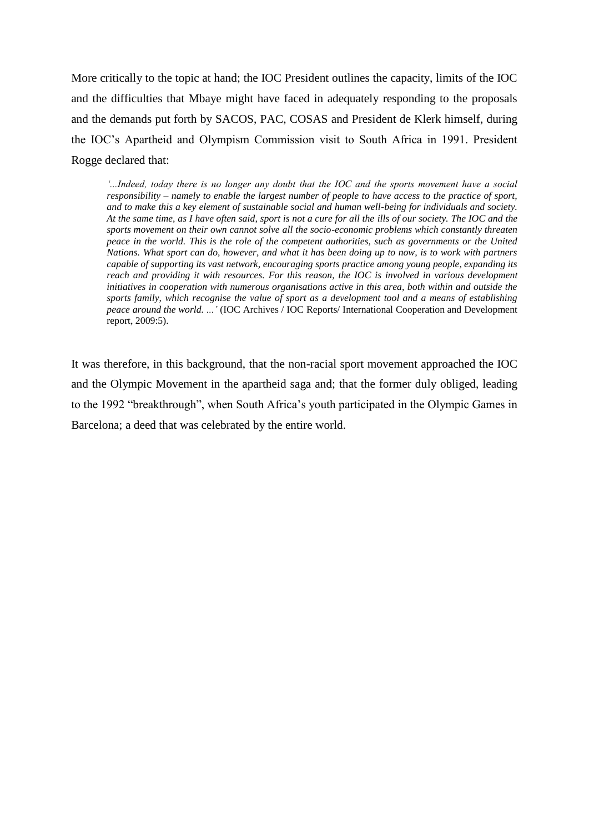More critically to the topic at hand; the IOC President outlines the capacity, limits of the IOC and the difficulties that Mbaye might have faced in adequately responding to the proposals and the demands put forth by SACOS, PAC, COSAS and President de Klerk himself, during the IOC"s Apartheid and Olympism Commission visit to South Africa in 1991. President Rogge declared that:

*"...Indeed, today there is no longer any doubt that the IOC and the sports movement have a social responsibility – namely to enable the largest number of people to have access to the practice of sport, and to make this a key element of sustainable social and human well-being for individuals and society. At the same time, as I have often said, sport is not a cure for all the ills of our society. The IOC and the sports movement on their own cannot solve all the socio-economic problems which constantly threaten peace in the world. This is the role of the competent authorities, such as governments or the United Nations. What sport can do, however, and what it has been doing up to now, is to work with partners capable of supporting its vast network, encouraging sports practice among young people, expanding its reach and providing it with resources. For this reason, the IOC is involved in various development initiatives in cooperation with numerous organisations active in this area, both within and outside the sports family, which recognise the value of sport as a development tool and a means of establishing peace around the world. ..."* (IOC Archives / IOC Reports/ International Cooperation and Development report, 2009:5).

It was therefore, in this background, that the non-racial sport movement approached the IOC and the Olympic Movement in the apartheid saga and; that the former duly obliged, leading to the 1992 "breakthrough", when South Africa"s youth participated in the Olympic Games in Barcelona; a deed that was celebrated by the entire world.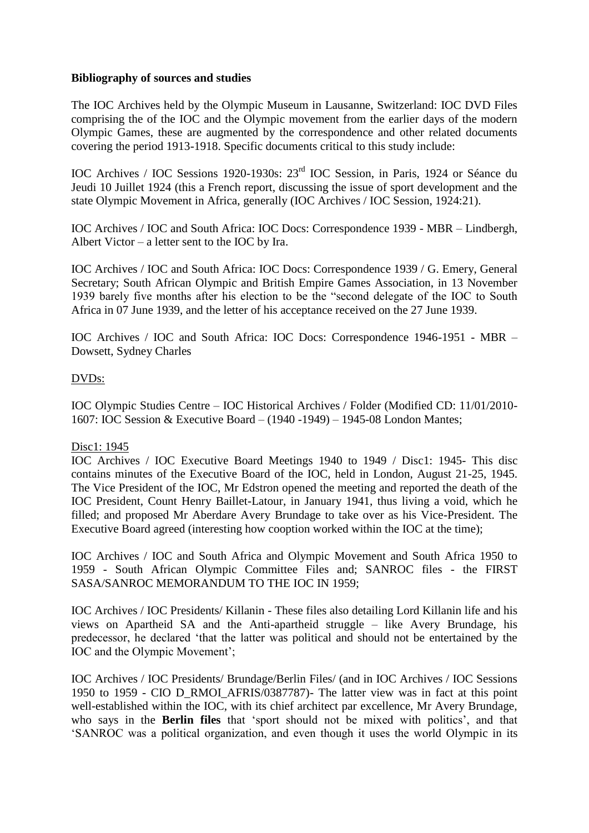## **Bibliography of sources and studies**

The IOC Archives held by the Olympic Museum in Lausanne, Switzerland: IOC DVD Files comprising the of the IOC and the Olympic movement from the earlier days of the modern Olympic Games, these are augmented by the correspondence and other related documents covering the period 1913-1918. Specific documents critical to this study include:

IOC Archives / IOC Sessions 1920-1930s: 23rd IOC Session, in Paris, 1924 or Séance du Jeudi 10 Juillet 1924 (this a French report, discussing the issue of sport development and the state Olympic Movement in Africa, generally (IOC Archives / IOC Session, 1924:21).

IOC Archives / IOC and South Africa: IOC Docs: Correspondence 1939 - MBR – Lindbergh, Albert Victor – a letter sent to the IOC by Ira.

IOC Archives / IOC and South Africa: IOC Docs: Correspondence 1939 / G. Emery, General Secretary; South African Olympic and British Empire Games Association, in 13 November 1939 barely five months after his election to be the "second delegate of the IOC to South Africa in 07 June 1939, and the letter of his acceptance received on the 27 June 1939.

IOC Archives / IOC and South Africa: IOC Docs: Correspondence 1946-1951 - MBR – Dowsett, Sydney Charles

## DVDs:

IOC Olympic Studies Centre – IOC Historical Archives / Folder (Modified CD: 11/01/2010- 1607: IOC Session & Executive Board – (1940 -1949) – 1945-08 London Mantes;

### Disc1: 1945

IOC Archives / IOC Executive Board Meetings 1940 to 1949 / Disc1: 1945- This disc contains minutes of the Executive Board of the IOC, held in London, August 21-25, 1945. The Vice President of the IOC, Mr Edstron opened the meeting and reported the death of the IOC President, Count Henry Baillet-Latour, in January 1941, thus living a void, which he filled; and proposed Mr Aberdare Avery Brundage to take over as his Vice-President. The Executive Board agreed (interesting how cooption worked within the IOC at the time);

IOC Archives / IOC and South Africa and Olympic Movement and South Africa 1950 to 1959 - South African Olympic Committee Files and; SANROC files - the FIRST SASA/SANROC MEMORANDUM TO THE IOC IN 1959;

IOC Archives / IOC Presidents/ Killanin - These files also detailing Lord Killanin life and his views on Apartheid SA and the Anti-apartheid struggle – like Avery Brundage, his predecessor, he declared "that the latter was political and should not be entertained by the IOC and the Olympic Movement';

IOC Archives / IOC Presidents/ Brundage/Berlin Files/ (and in IOC Archives / IOC Sessions 1950 to 1959 - CIO D\_RMOI\_AFRIS/0387787)- The latter view was in fact at this point well-established within the IOC, with its chief architect par excellence, Mr Avery Brundage, who says in the **Berlin files** that 'sport should not be mixed with politics', and that "SANROC was a political organization, and even though it uses the world Olympic in its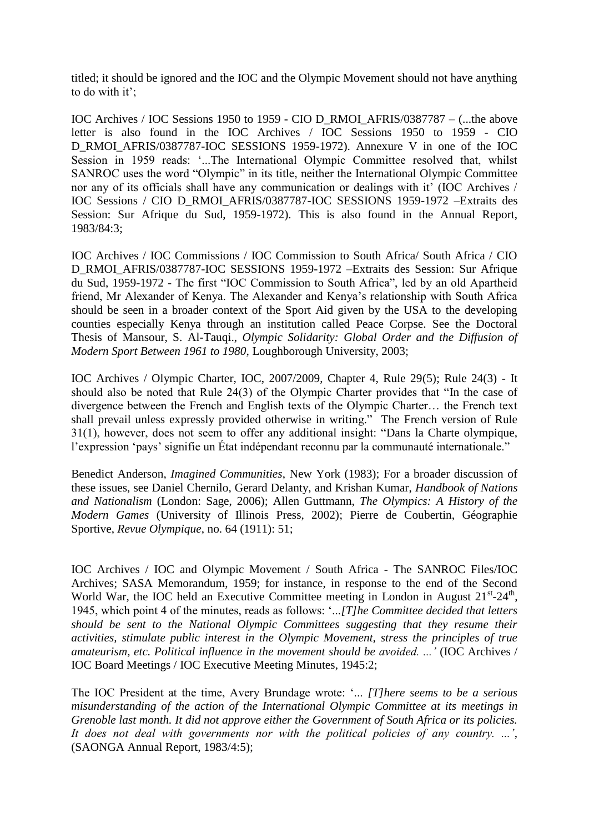titled; it should be ignored and the IOC and the Olympic Movement should not have anything to do with it';

IOC Archives / IOC Sessions 1950 to 1959 - CIO D\_RMOI\_AFRIS/0387787 – (...the above letter is also found in the IOC Archives / IOC Sessions 1950 to 1959 - CIO D\_RMOI\_AFRIS/0387787-IOC\_SESSIONS 1959-1972). Annexure V in one of the IOC Session in 1959 reads: '...The International Olympic Committee resolved that, whilst SANROC uses the word "Olympic" in its title, neither the International Olympic Committee nor any of its officials shall have any communication or dealings with it' (IOC Archives / IOC Sessions / CIO D\_RMOI\_AFRIS/0387787-IOC SESSIONS 1959-1972 –Extraits des Session: Sur Afrique du Sud, 1959-1972). This is also found in the Annual Report, 1983/84:3;

IOC Archives / IOC Commissions / IOC Commission to South Africa/ South Africa / CIO D\_RMOI\_AFRIS/0387787-IOC SESSIONS 1959-1972 –Extraits des Session: Sur Afrique du Sud, 1959-1972 - The first "IOC Commission to South Africa", led by an old Apartheid friend, Mr Alexander of Kenya. The Alexander and Kenya"s relationship with South Africa should be seen in a broader context of the Sport Aid given by the USA to the developing counties especially Kenya through an institution called Peace Corpse. See the Doctoral Thesis of Mansour, S. Al-Tauqi., *Olympic Solidarity: Global Order and the Diffusion of Modern Sport Between 1961 to 1980*, Loughborough University, 2003;

IOC Archives / Olympic Charter, IOC, 2007/2009, Chapter 4, Rule 29(5); Rule 24(3) - It should also be noted that Rule 24(3) of the Olympic Charter provides that "In the case of divergence between the French and English texts of the Olympic Charter… the French text shall prevail unless expressly provided otherwise in writing." The French version of Rule 31(1), however, does not seem to offer any additional insight: "Dans la Charte olympique, l"expression "pays" signifie un État indépendant reconnu par la communauté internationale."

Benedict Anderson, *Imagined Communities*, New York (1983); For a broader discussion of these issues, see Daniel Chernilo, Gerard Delanty, and Krishan Kumar, *Handbook of Nations and Nationalism* (London: Sage, 2006); Allen Guttmann, *The Olympics: A History of the Modern Games* (University of Illinois Press, 2002); Pierre de Coubertin, Géographie Sportive, *Revue Olympique*, no. 64 (1911): 51;

IOC Archives / IOC and Olympic Movement / South Africa - The SANROC Files/IOC Archives; SASA Memorandum, 1959; for instance, in response to the end of the Second World War, the IOC held an Executive Committee meeting in London in August  $21^{st}$ - $24^{th}$ , 1945, which point 4 of the minutes, reads as follows: "...*[T]he Committee decided that letters should be sent to the National Olympic Committees suggesting that they resume their activities, stimulate public interest in the Olympic Movement, stress the principles of true amateurism, etc. Political influence in the movement should be avoided. ..."* (IOC Archives / IOC Board Meetings / IOC Executive Meeting Minutes, 1945:2;

The IOC President at the time, Avery Brundage wrote: "... *[T]here seems to be a serious misunderstanding of the action of the International Olympic Committee at its meetings in Grenoble last month. It did not approve either the Government of South Africa or its policies. It does not deal with governments nor with the political policies of any country. ..."*, (SAONGA Annual Report, 1983/4:5);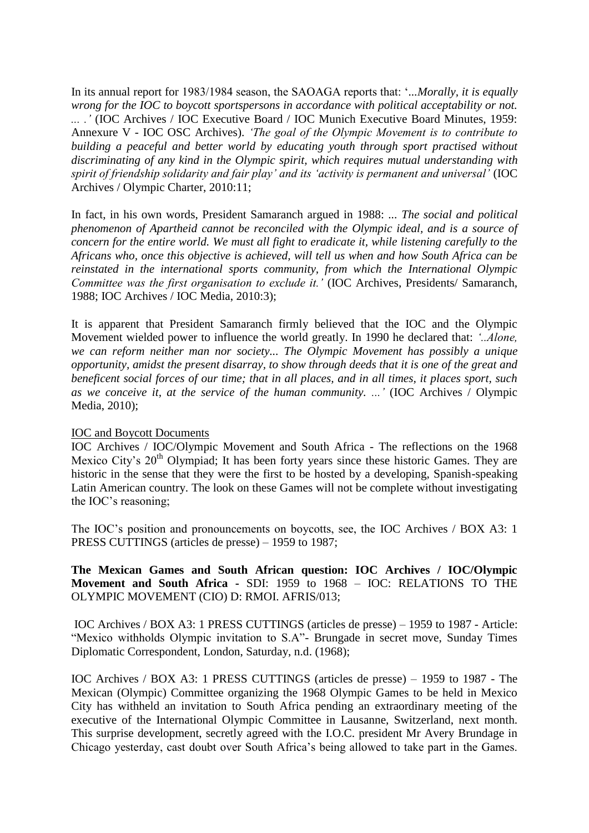In its annual report for 1983/1984 season, the SAOAGA reports that: "*...Morally, it is equally wrong for the IOC to boycott sportspersons in accordance with political acceptability or not. ... ."* (IOC Archives / IOC Executive Board / IOC Munich Executive Board Minutes, 1959: Annexure V - IOC OSC Archives). *"The goal of the Olympic Movement is to contribute to building a peaceful and better world by educating youth through sport practised without discriminating of any kind in the Olympic spirit, which requires mutual understanding with spirit of friendship solidarity and fair play" and its "activity is permanent and universal"* (IOC Archives / Olympic Charter, 2010:11;

In fact, in his own words, President Samaranch argued in 1988: *... The social and political phenomenon of Apartheid cannot be reconciled with the Olympic ideal, and is a source of concern for the entire world. We must all fight to eradicate it, while listening carefully to the Africans who, once this objective is achieved, will tell us when and how South Africa can be reinstated in the international sports community, from which the International Olympic Committee was the first organisation to exclude it."* (IOC Archives, Presidents/ Samaranch, 1988; IOC Archives / IOC Media, 2010:3);

It is apparent that President Samaranch firmly believed that the IOC and the Olympic Movement wielded power to influence the world greatly. In 1990 he declared that: *"..Alone, we can reform neither man nor society... The Olympic Movement has possibly a unique opportunity, amidst the present disarray, to show through deeds that it is one of the great and beneficent social forces of our time; that in all places, and in all times, it places sport, such as we conceive it, at the service of the human community. ..."* (IOC Archives / Olympic Media, 2010);

### IOC and Boycott Documents

IOC Archives / IOC/Olympic Movement and South Africa - The reflections on the 1968 Mexico City's 20<sup>th</sup> Olympiad; It has been forty years since these historic Games. They are historic in the sense that they were the first to be hosted by a developing, Spanish-speaking Latin American country. The look on these Games will not be complete without investigating the IOC"s reasoning;

The IOC"s position and pronouncements on boycotts, see, the IOC Archives / BOX A3: 1 PRESS CUTTINGS (articles de presse) – 1959 to 1987;

**The Mexican Games and South African question: IOC Archives / IOC/Olympic Movement and South Africa -** SDI: 1959 to 1968 – IOC: RELATIONS TO THE OLYMPIC MOVEMENT (CIO) D: RMOI. AFRIS/013;

IOC Archives / BOX A3: 1 PRESS CUTTINGS (articles de presse) – 1959 to 1987 - Article: "Mexico withholds Olympic invitation to S.A"- Brungade in secret move, Sunday Times Diplomatic Correspondent, London, Saturday, n.d. (1968);

IOC Archives / BOX A3: 1 PRESS CUTTINGS (articles de presse) – 1959 to 1987 - The Mexican (Olympic) Committee organizing the 1968 Olympic Games to be held in Mexico City has withheld an invitation to South Africa pending an extraordinary meeting of the executive of the International Olympic Committee in Lausanne, Switzerland, next month. This surprise development, secretly agreed with the I.O.C. president Mr Avery Brundage in Chicago yesterday, cast doubt over South Africa"s being allowed to take part in the Games.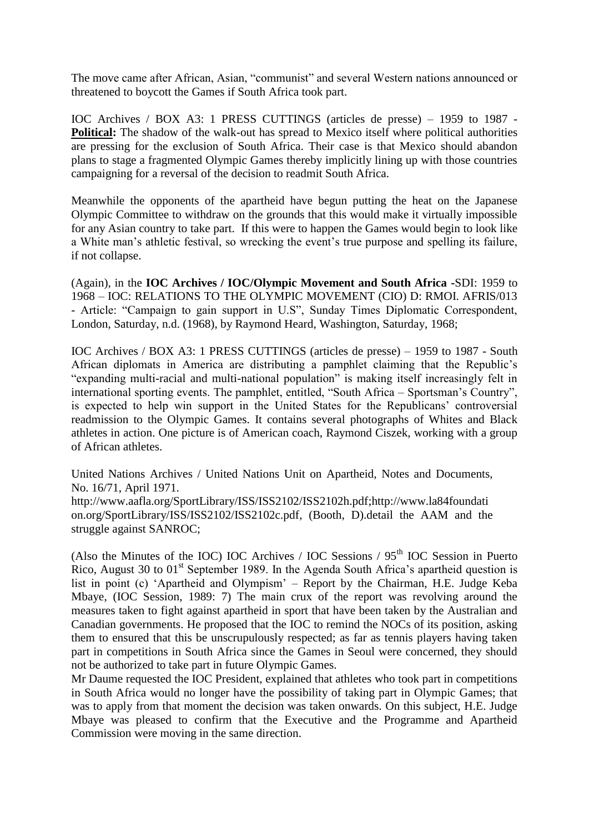The move came after African, Asian, "communist" and several Western nations announced or threatened to boycott the Games if South Africa took part.

IOC Archives / BOX A3: 1 PRESS CUTTINGS (articles de presse) – 1959 to 1987 - **Political:** The shadow of the walk-out has spread to Mexico itself where political authorities are pressing for the exclusion of South Africa. Their case is that Mexico should abandon plans to stage a fragmented Olympic Games thereby implicitly lining up with those countries campaigning for a reversal of the decision to readmit South Africa.

Meanwhile the opponents of the apartheid have begun putting the heat on the Japanese Olympic Committee to withdraw on the grounds that this would make it virtually impossible for any Asian country to take part. If this were to happen the Games would begin to look like a White man's athletic festival, so wrecking the event's true purpose and spelling its failure, if not collapse.

(Again), in the **IOC Archives / IOC/Olympic Movement and South Africa -**SDI: 1959 to 1968 – IOC: RELATIONS TO THE OLYMPIC MOVEMENT (CIO) D: RMOI. AFRIS/013 - Article: "Campaign to gain support in U.S", Sunday Times Diplomatic Correspondent, London, Saturday, n.d. (1968), by Raymond Heard, Washington, Saturday, 1968;

IOC Archives / BOX A3: 1 PRESS CUTTINGS (articles de presse) – 1959 to 1987 - South African diplomats in America are distributing a pamphlet claiming that the Republic"s "expanding multi-racial and multi-national population" is making itself increasingly felt in international sporting events. The pamphlet, entitled, "South Africa – Sportsman"s Country", is expected to help win support in the United States for the Republicans' controversial readmission to the Olympic Games. It contains several photographs of Whites and Black athletes in action. One picture is of American coach, Raymond Ciszek, working with a group of African athletes.

United Nations Archives / United Nations Unit on Apartheid, Notes and Documents, No. 16/71, April 1971.

[http://www.aafla.org/SportLibrary/ISS/ISS2102/ISS2102h.pdf](http://www.aafla.org/SportsLibrary/ISS/ISS2102/ISS2102h.pdf)[;http://www.la84foundati](http://www.la84foundation.org/SportsLibrary/ISS/ISS2102/ISS2102c.pdf) [on.org/SportLibrary/ISS/ISS2102/ISS2102c.pdf,](http://www.la84foundation.org/SportsLibrary/ISS/ISS2102/ISS2102c.pdf) (Booth, D).detail the AAM and the struggle against SANROC;

(Also the Minutes of the IOC) IOC Archives / IOC Sessions /  $95<sup>th</sup>$  IOC Session in Puerto Rico, August 30 to 01<sup>st</sup> September 1989. In the Agenda South Africa's apartheid question is list in point (c) "Apartheid and Olympism" – Report by the Chairman, H.E. Judge Keba Mbaye, (IOC Session, 1989: 7) The main crux of the report was revolving around the measures taken to fight against apartheid in sport that have been taken by the Australian and Canadian governments. He proposed that the IOC to remind the NOCs of its position, asking them to ensured that this be unscrupulously respected; as far as tennis players having taken part in competitions in South Africa since the Games in Seoul were concerned, they should not be authorized to take part in future Olympic Games.

Mr Daume requested the IOC President, explained that athletes who took part in competitions in South Africa would no longer have the possibility of taking part in Olympic Games; that was to apply from that moment the decision was taken onwards. On this subject, H.E. Judge Mbaye was pleased to confirm that the Executive and the Programme and Apartheid Commission were moving in the same direction.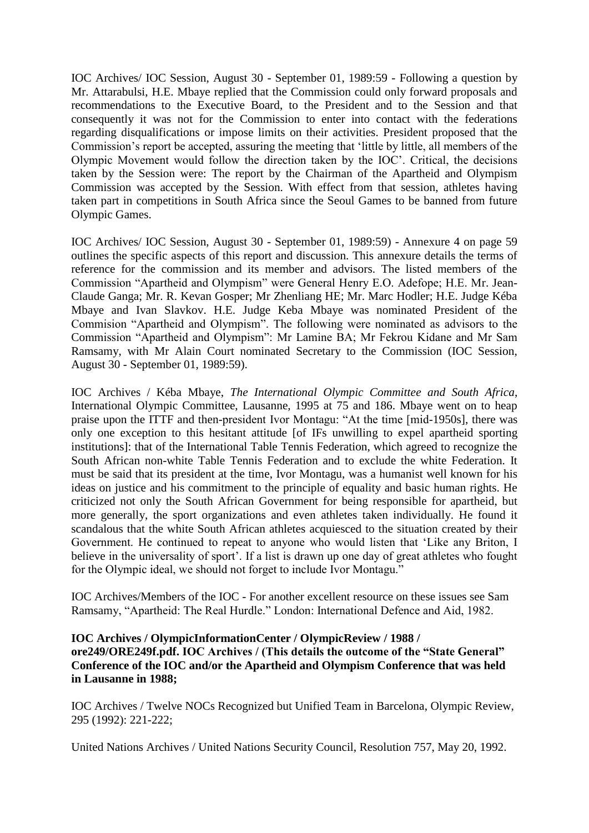IOC Archives/ IOC Session, August 30 - September 01, 1989:59 - Following a question by Mr. Attarabulsi, H.E. Mbaye replied that the Commission could only forward proposals and recommendations to the Executive Board, to the President and to the Session and that consequently it was not for the Commission to enter into contact with the federations regarding disqualifications or impose limits on their activities. President proposed that the Commission"s report be accepted, assuring the meeting that "little by little, all members of the Olympic Movement would follow the direction taken by the IOC". Critical, the decisions taken by the Session were: The report by the Chairman of the Apartheid and Olympism Commission was accepted by the Session. With effect from that session, athletes having taken part in competitions in South Africa since the Seoul Games to be banned from future Olympic Games.

IOC Archives/ IOC Session, August 30 - September 01, 1989:59) - Annexure 4 on page 59 outlines the specific aspects of this report and discussion. This annexure details the terms of reference for the commission and its member and advisors. The listed members of the Commission "Apartheid and Olympism" were General Henry E.O. Adefope; H.E. Mr. Jean-Claude Ganga; Mr. R. Kevan Gosper; Mr Zhenliang HE; Mr. Marc Hodler; H.E. Judge Kéba Mbaye and Ivan Slavkov. H.E. Judge Keba Mbaye was nominated President of the Commision "Apartheid and Olympism". The following were nominated as advisors to the Commission "Apartheid and Olympism": Mr Lamine BA; Mr Fekrou Kidane and Mr Sam Ramsamy, with Mr Alain Court nominated Secretary to the Commission (IOC Session, August 30 - September 01, 1989:59).

IOC Archives / Kéba Mbaye, *The International Olympic Committee and South Africa*, International Olympic Committee, Lausanne, 1995 at 75 and 186. Mbaye went on to heap praise upon the ITTF and then-president Ivor Montagu: "At the time [mid-1950s], there was only one exception to this hesitant attitude [of IFs unwilling to expel apartheid sporting institutions]: that of the International Table Tennis Federation, which agreed to recognize the South African non-white Table Tennis Federation and to exclude the white Federation. It must be said that its president at the time, Ivor Montagu, was a humanist well known for his ideas on justice and his commitment to the principle of equality and basic human rights. He criticized not only the South African Government for being responsible for apartheid, but more generally, the sport organizations and even athletes taken individually. He found it scandalous that the white South African athletes acquiesced to the situation created by their Government. He continued to repeat to anyone who would listen that "Like any Briton, I believe in the universality of sport'. If a list is drawn up one day of great athletes who fought for the Olympic ideal, we should not forget to include Ivor Montagu."

IOC Archives/Members of the IOC - For another excellent resource on these issues see Sam Ramsamy, "Apartheid: The Real Hurdle." London: International Defence and Aid, 1982.

## **IOC Archives / [OlympicInformationCenter / OlympicReview](http://www.la84foundation.org/OlympicInformationCenter/OlympicReview/1988/ore249/ORE249f.pdf) / 1988 / [ore249/ORE249f.pdf.](http://www.la84foundation.org/OlympicInformationCenter/OlympicReview/1988/ore249/ORE249f.pdf) IOC Archives / (This details the outcome of the "State General" Conference of the IOC and/or the Apartheid and Olympism Conference that was held in Lausanne in 1988;**

IOC Archives / Twelve NOCs Recognized but Unified Team in Barcelona, Olympic Review, 295 (1992): 221-222;

United Nations Archives / United Nations Security Council, Resolution 757, May 20, 1992.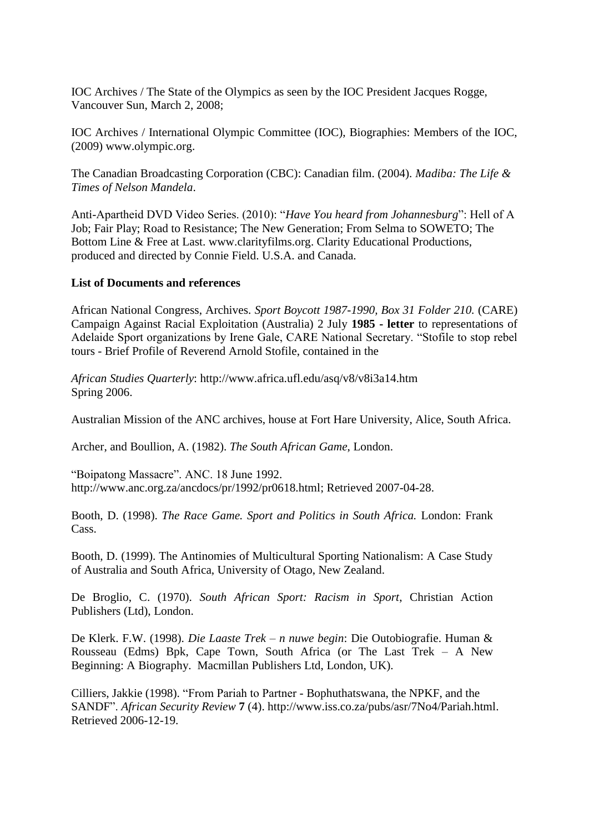IOC Archives / The State of the Olympics as seen by the IOC President Jacques Rogge, Vancouver Sun, March 2, 2008;

IOC Archives / International Olympic Committee (IOC), Biographies: Members of the IOC, (2009) [www.olympic.org.](http://www.olympic.org/)

The Canadian Broadcasting Corporation (CBC): Canadian film. (2004). *Madiba: The Life & Times of Nelson Mandela*.

Anti-Apartheid DVD Video Series. (2010): "*Have You heard from Johannesburg*": Hell of A Job; Fair Play; Road to Resistance; The New Generation; From Selma to SOWETO; The Bottom Line & Free at Last. [www.clarityfilms.org.](http://www.clarityfilms.org/) Clarity Educational Productions, produced and directed by Connie Field. U.S.A. and Canada.

### **List of Documents and references**

African National Congress, Archives. *Sport Boycott 1987-1990, Box 31 Folder 210.* (CARE) Campaign Against Racial Exploitation (Australia) 2 July **1985 - letter** to representations of Adelaide Sport organizations by Irene Gale, CARE National Secretary. "Stofile to stop rebel tours - Brief Profile of Reverend Arnold Stofile, contained in the

*African Studies Quarterly*: http://www.africa.ufl.edu/asq/v8/v8i3a14.htm Spring 2006.

Australian Mission of the ANC archives, house at Fort Hare University, Alice, South Africa.

Archer, and Boullion, A. (1982). *The South African Game*, London.

"Boipatong Massacre". ANC. 18 June 1992. [http://www.anc.org.za/ancdocs/pr/1992/pr0618.html;](http://www.anc.org.za/ancdocs/pr/1992/pr0618.html) Retrieved 2007-04-28.

Booth, D. (1998). *The Race Game. Sport and Politics in South Africa.* London: Frank Cass.

Booth, D. (1999). The Antinomies of Multicultural Sporting Nationalism: A Case Study of Australia and South Africa, University of Otago, New Zealand.

De Broglio, C. (1970). *South African Sport: Racism in Sport*, Christian Action Publishers (Ltd), London.

De Klerk. F.W. (1998). *Die Laaste Trek – n nuwe begin*: Die Outobiografie. Human & Rousseau (Edms) Bpk, Cape Town, South Africa (or The Last Trek – A New Beginning: A Biography. Macmillan Publishers Ltd, London, UK).

Cilliers, Jakkie (1998). "From Pariah to Partner - [Bophuthatswana, the NPKF, and the](http://www.iss.co.za/pubs/asr/7No4/Pariah.html)  [SANDF"](http://www.iss.co.za/pubs/asr/7No4/Pariah.html). *African Security Review* **7** (4). http://www.iss.co.za/pubs/asr/7No4/Pariah.html. Retrieved 2006-12-19.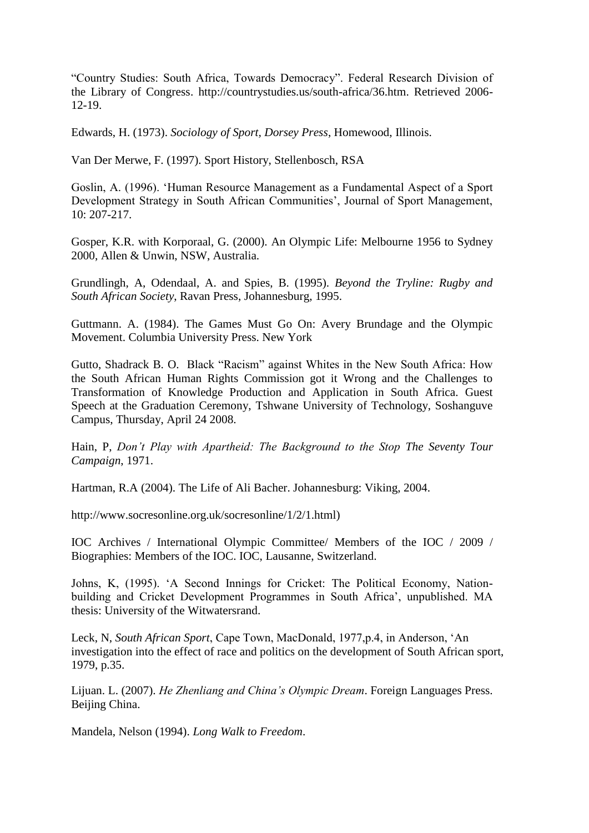"Country Studies: South Africa, Towards Democracy". Federal Research Division of the Library of Congress. http://countrystudies.us/south-africa/36.htm. Retrieved 2006- 12-19.

Edwards, H. (1973). *Sociology of Sport, Dorsey Press*, Homewood, Illinois.

Van Der Merwe, F. (1997). Sport History, Stellenbosch, RSA

Goslin, A. (1996). "Human Resource Management as a Fundamental Aspect of a Sport Development Strategy in South African Communities', Journal of Sport Management, 10: 207-217.

Gosper, K.R. with Korporaal, G. (2000). An Olympic Life: Melbourne 1956 to Sydney 2000, Allen & Unwin, NSW, Australia.

Grundlingh, A, Odendaal, A. and Spies, B. (1995). *Beyond the Tryline: Rugby and South African Society*, Ravan Press, Johannesburg, 1995.

Guttmann. A. (1984). The Games Must Go On: Avery Brundage and the Olympic Movement. Columbia University Press. New York

Gutto, Shadrack B. O. Black "Racism" against Whites in the New South Africa: How the South African Human Rights Commission got it Wrong and the Challenges to Transformation of Knowledge Production and Application in South Africa. Guest Speech at the Graduation Ceremony, Tshwane University of Technology, Soshanguve Campus, Thursday, April 24 2008.

Hain, P, *Don"t Play with Apartheid: The Background to the Stop The Seventy Tour Campaign*, 1971.

Hartman, R.A (2004). The Life of Ali Bacher. Johannesburg: Viking, 2004.

http://www.socresonline.org.uk/socresonline/1/2/1.html)

IOC Archives / International Olympic Committee/ Members of the IOC / 2009 / Biographies: Members of the IOC. IOC, Lausanne, Switzerland.

Johns, K, (1995). "A Second Innings for Cricket: The Political Economy, Nationbuilding and Cricket Development Programmes in South Africa', unpublished. MA thesis: University of the Witwatersrand.

Leck, N, *South African Sport*, Cape Town, MacDonald, 1977,p.4, in Anderson, "An investigation into the effect of race and politics on the development of South African sport, 1979, p.35.

Lijuan. L. (2007). *He Zhenliang and China"s Olympic Dream*. Foreign Languages Press. Beijing China.

Mandela, Nelson (1994). *Long Walk to Freedom*.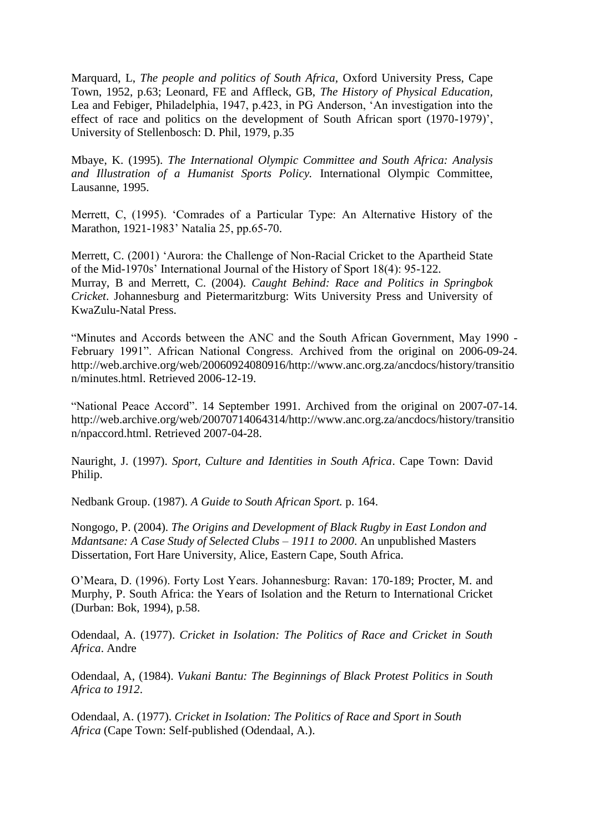Marquard, L, *The people and politics of South Africa,* Oxford University Press, Cape Town, 1952, p.63; Leonard, FE and Affleck, GB, *The History of Physical Education,* Lea and Febiger, Philadelphia, 1947, p.423, in PG Anderson, "An investigation into the effect of race and politics on the development of South African sport (1970-1979)', University of Stellenbosch: D. Phil, 1979, p.35

Mbaye, K. (1995). *The International Olympic Committee and South Africa: Analysis and Illustration of a Humanist Sports Policy.* International Olympic Committee, Lausanne, 1995.

Merrett, C, (1995). "Comrades of a Particular Type: An Alternative History of the Marathon, 1921-1983" Natalia 25, pp.65-70.

Merrett, C. (2001) "Aurora: the Challenge of Non-Racial Cricket to the Apartheid State of the Mid-1970s" International Journal of the History of Sport 18(4): 95-122. Murray, B and Merrett, C. (2004). *Caught Behind: Race and Politics in Springbok Cricket*. Johannesburg and Pietermaritzburg: Wits University Press and University of KwaZulu-Natal Press.

"Minutes and Accords between the ANC and the South African Government, May 1990 - February 1991". African National Congress. Archived from [the original](http://www.anc.org.za/ancdocs/history/transition/minutes.html) on 2006-09-24. [http://web.archive.org/web/20060924080916/http://www.anc.org.za/ancdocs/history/transitio](http://web.archive.org/web/20060924080916/http:/www.anc.org.za/ancdocs/history/transition/minutes.html) [n/minutes.html.](http://web.archive.org/web/20060924080916/http:/www.anc.org.za/ancdocs/history/transition/minutes.html) Retrieved 2006-12-19.

["National Peace Accord".](http://web.archive.org/web/20070714064314/http:/www.anc.org.za/ancdocs/history/transition/npaccord.html) 14 September 1991. Archived from [the original](http://www.anc.org.za/ancdocs/history/transition/npaccord.html) on 2007-07-14. http://web.archive.org/web/20070714064314/http://www.anc.org.za/ancdocs/history/transitio n/npaccord.html. Retrieved 2007-04-28.

Nauright, J. (1997). *Sport, Culture and Identities in South Africa*. Cape Town: David Philip.

Nedbank Group. (1987). *A Guide to South African Sport.* p. 164.

Nongogo, P. (2004). *The Origins and Development of Black Rugby in East London and Mdantsane: A Case Study of Selected Clubs – 1911 to 2000*. An unpublished Masters Dissertation, Fort Hare University, Alice, Eastern Cape, South Africa.

O"Meara, D. (1996). Forty Lost Years. Johannesburg: Ravan: 170-189; Procter, M. and Murphy, P. South Africa: the Years of Isolation and the Return to International Cricket (Durban: Bok, 1994), p.58.

Odendaal, A. (1977). *Cricket in Isolation: The Politics of Race and Cricket in South Africa*. Andre

Odendaal, A, (1984). *Vukani Bantu: The Beginnings of Black Protest Politics in South Africa to 1912*.

Odendaal, A. (1977). *Cricket in Isolation: The Politics of Race and Sport in South Africa* (Cape Town: Self-published (Odendaal, A.).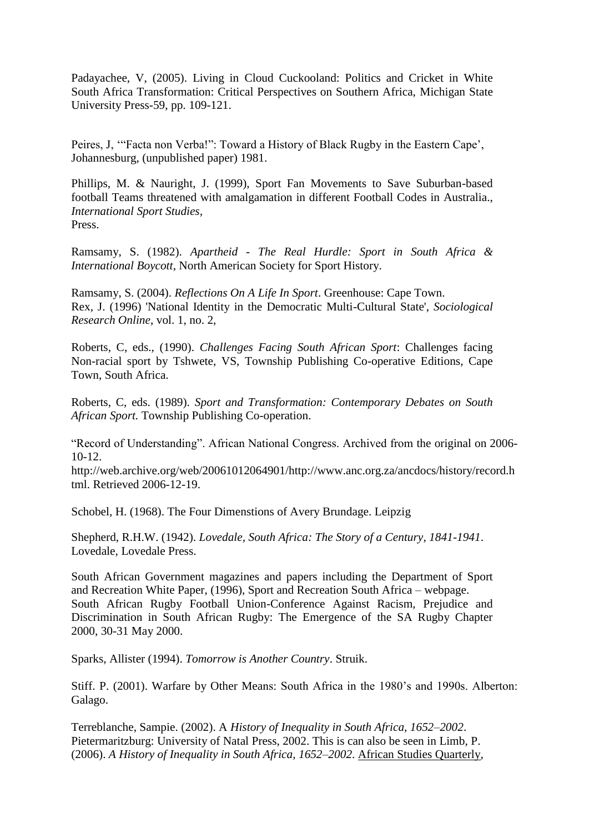Padayachee, V, (2005). Living in Cloud Cuckooland: Politics and Cricket in White South Africa Transformation: Critical Perspectives on Southern Africa, [Michigan State](http://muse.jhu.edu/about/publishers/michiganstate)  [University Press-](http://muse.jhu.edu/about/publishers/michiganstate)59, pp. 109-121.

Peires, J, "'Facta non Verba!": Toward a History of Black Rugby in the Eastern Cape', Johannesburg, (unpublished paper) 1981.

Phillips, M. & Nauright, J. (1999), Sport Fan Movements to Save Suburban-based football Teams threatened with amalgamation in different Football Codes in Australia., *International Sport Studies,* Press.

Ramsamy, S. (1982). *Apartheid - The Real Hurdle: Sport in South Africa & International Boycott*, North American Society for Sport History.

Ramsamy, S. (2004). *Reflections On A Life In Sport*. Greenhouse: Cape Town. Rex, J. (1996) 'National Identity in the Democratic Multi-Cultural State', *Sociological Research Online*, vol. 1, no. 2,

Roberts, C, eds., (1990). *Challenges Facing South African Sport*: Challenges facing Non-racial sport by Tshwete, VS, Township Publishing Co-operative Editions, Cape Town, South Africa.

Roberts, C, eds. (1989). *Sport and Transformation: Contemporary Debates on South African Sport.* Township Publishing Co-operation.

["Record of Understanding"](http://web.archive.org/web/20061012064901/http:/www.anc.org.za/ancdocs/history/record.html). African National Congress. Archived from [the original](http://www.anc.org.za/ancdocs/history/record.html) on 2006- 10-12.

http://web.archive.org/web/20061012064901/http://www.anc.org.za/ancdocs/history/record.h tml. Retrieved 2006-12-19.

Schobel, H. (1968). The Four Dimenstions of Avery Brundage. Leipzig

Shepherd, R.H.W. (1942). *Lovedale, South Africa: The Story of a Century, 1841-1941*. Lovedale, Lovedale Press.

South African Government magazines and papers including the Department of Sport and Recreation White Paper, (1996), Sport and Recreation South Africa – webpage. South African Rugby Football Union-Conference Against Racism, Prejudice and Discrimination in South African Rugby: The Emergence of the SA Rugby Chapter 2000, 30-31 May 2000.

[Sparks, Allister](http://en.wikipedia.org/wiki/Allister_Sparks) (1994). *Tomorrow is Another Country*. Struik.

Stiff. P. (2001). Warfare by Other Means: South Africa in the 1980"s and 1990s. Alberton: Galago.

Terreblanche, Sampie. (2002). A *History of Inequality in South Africa, 1652–2002*. Pietermaritzburg: University of Natal Press, 2002. This is can also be seen in Limb, P. (2006). *A History of Inequality in South Africa, 1652–2002*. African Studies Quarterly,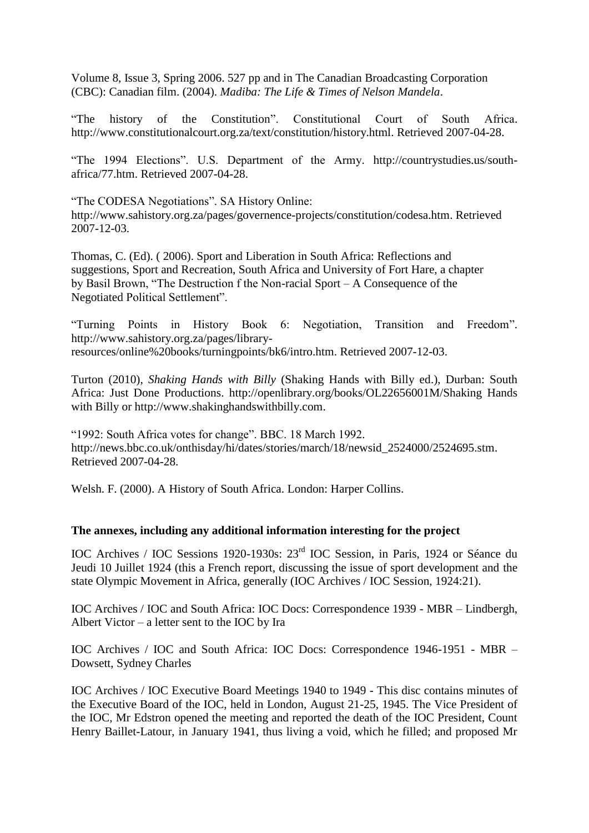Volume 8, Issue 3, Spring 2006. 527 pp and in The Canadian Broadcasting Corporation (CBC): Canadian film. (2004). *Madiba: The Life & Times of Nelson Mandela*.

["The history of the Constitution"](http://www.constitutionalcourt.org.za/text/constitution/history.html). Constitutional Court of South Africa. [http://www.constitutionalcourt.org.za/text/constitution/history.html.](http://www.constitutionalcourt.org.za/text/constitution/history.html) Retrieved 2007-04-28.

["The 1994 Elections"](“The%201994%20Elections). U.S. Department of the Army. [http://countrystudies.us/south](http://countrystudies.us/south-africa/77.htm)[africa/77.htm.](http://countrystudies.us/south-africa/77.htm) Retrieved 2007-04-28.

["The CODESA Negotiations"](http://www.sahistory.org.za/pages/governence-projects/constitution/codesa.htm). SA History Online: http://www.sahistory.org.za/pages/governence-projects/constitution/codesa.htm. Retrieved 2007-12-03.

Thomas, C. (Ed). ( 2006). Sport and Liberation in South Africa: Reflections and suggestions, Sport and Recreation, South Africa and University of Fort Hare, a chapter by Basil Brown, "The Destruction f the Non-racial Sport – A Consequence of the Negotiated Political Settlement".

["Turning Points in History Book 6: Negotiation, Transition and Freedom"](http://www.sahistory.org.za/pages/library-resources/online%20books/turningpoints/bk6/intro.htm). http://www.sahistory.org.za/pages/libraryresources/online%20books/turningpoints/bk6/intro.htm. Retrieved 2007-12-03.

Turton (2010), *Shaking Hands with Billy* (Shaking Hands with Billy ed.), Durban: South Africa: Just Done Productions. <http://openlibrary.org/books/OL22656001M/Shaking> Hands with Billy or [http://www.shakinghandswithbilly.com.](http://www.shakinghandswithbilly.com/)

["1992: South Africa votes for change"](http://news.bbc.co.uk/onthisday/hi/dates/stories/march/18/newsid_2524000/2524695.stm). BBC. 18 March 1992. http://news.bbc.co.uk/onthisday/hi/dates/stories/march/18/newsid\_2524000/2524695.stm. Retrieved 2007-04-28.

Welsh. F. (2000). A History of South Africa. London: Harper Collins.

### **The annexes, including any additional information interesting for the project**

IOC Archives / IOC Sessions 1920-1930s: 23rd IOC Session, in Paris, 1924 or Séance du Jeudi 10 Juillet 1924 (this a French report, discussing the issue of sport development and the state Olympic Movement in Africa, generally (IOC Archives / IOC Session, 1924:21).

IOC Archives / IOC and South Africa: IOC Docs: Correspondence 1939 - MBR – Lindbergh, Albert Victor – a letter sent to the IOC by Ira

IOC Archives / IOC and South Africa: IOC Docs: Correspondence 1946-1951 - MBR – Dowsett, Sydney Charles

IOC Archives / IOC Executive Board Meetings 1940 to 1949 - This disc contains minutes of the Executive Board of the IOC, held in London, August 21-25, 1945. The Vice President of the IOC, Mr Edstron opened the meeting and reported the death of the IOC President, Count Henry Baillet-Latour, in January 1941, thus living a void, which he filled; and proposed Mr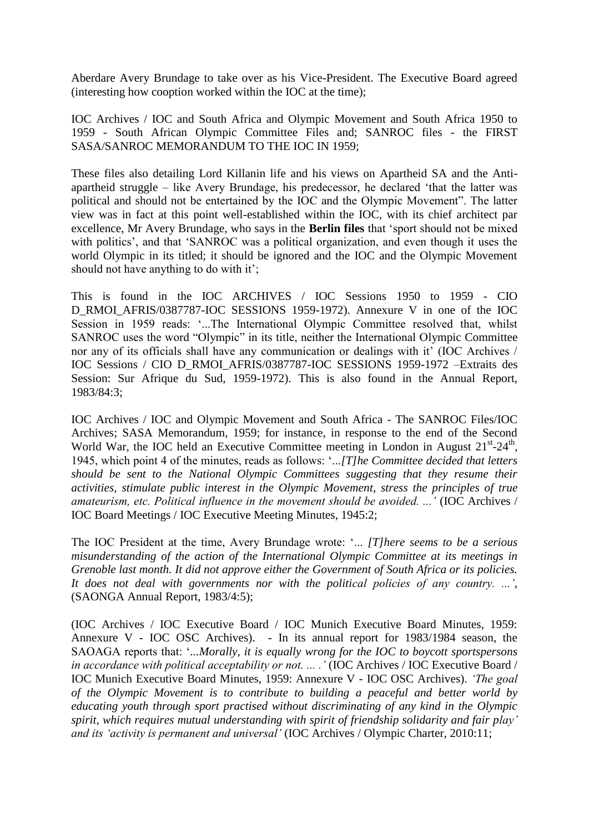Aberdare Avery Brundage to take over as his Vice-President. The Executive Board agreed (interesting how cooption worked within the IOC at the time);

IOC Archives / IOC and South Africa and Olympic Movement and South Africa 1950 to 1959 - South African Olympic Committee Files and; SANROC files - the FIRST SASA/SANROC MEMORANDUM TO THE IOC IN 1959;

These files also detailing Lord Killanin life and his views on Apartheid SA and the Antiapartheid struggle – like Avery Brundage, his predecessor, he declared "that the latter was political and should not be entertained by the IOC and the Olympic Movement". The latter view was in fact at this point well-established within the IOC, with its chief architect par excellence, Mr Avery Brundage, who says in the **Berlin files** that "sport should not be mixed with politics', and that 'SANROC was a political organization, and even though it uses the world Olympic in its titled; it should be ignored and the IOC and the Olympic Movement should not have anything to do with it';

This is found in the IOC ARCHIVES / IOC Sessions 1950 to 1959 - CIO D\_RMOI\_AFRIS/0387787-IOC SESSIONS 1959-1972). Annexure V in one of the IOC Session in 1959 reads: '...The International Olympic Committee resolved that, whilst SANROC uses the word "Olympic" in its title, neither the International Olympic Committee nor any of its officials shall have any communication or dealings with it' (IOC Archives / IOC Sessions / CIO D\_RMOI\_AFRIS/0387787-IOC SESSIONS 1959-1972 –Extraits des Session: Sur Afrique du Sud, 1959-1972). This is also found in the Annual Report, 1983/84:3;

IOC Archives / IOC and Olympic Movement and South Africa - The SANROC Files/IOC Archives; SASA Memorandum, 1959; for instance, in response to the end of the Second World War, the IOC held an Executive Committee meeting in London in August  $21^{st}$ - $24^{th}$ , 1945, which point 4 of the minutes, reads as follows: "...*[T]he Committee decided that letters should be sent to the National Olympic Committees suggesting that they resume their activities, stimulate public interest in the Olympic Movement, stress the principles of true amateurism, etc. Political influence in the movement should be avoided. ..."* (IOC Archives / IOC Board Meetings / IOC Executive Meeting Minutes, 1945:2;

The IOC President at the time, Avery Brundage wrote: "... *[T]here seems to be a serious misunderstanding of the action of the International Olympic Committee at its meetings in Grenoble last month. It did not approve either the Government of South Africa or its policies. It does not deal with governments nor with the political policies of any country. ..."*, (SAONGA Annual Report, 1983/4:5);

(IOC Archives / IOC Executive Board / IOC Munich Executive Board Minutes, 1959: Annexure V - IOC OSC Archives). - In its annual report for 1983/1984 season, the SAOAGA reports that: "*...Morally, it is equally wrong for the IOC to boycott sportspersons in accordance with political acceptability or not. ... ."* (IOC Archives / IOC Executive Board / IOC Munich Executive Board Minutes, 1959: Annexure V - IOC OSC Archives). *"The goal of the Olympic Movement is to contribute to building a peaceful and better world by educating youth through sport practised without discriminating of any kind in the Olympic spirit, which requires mutual understanding with spirit of friendship solidarity and fair play" and its "activity is permanent and universal"* (IOC Archives / Olympic Charter, 2010:11;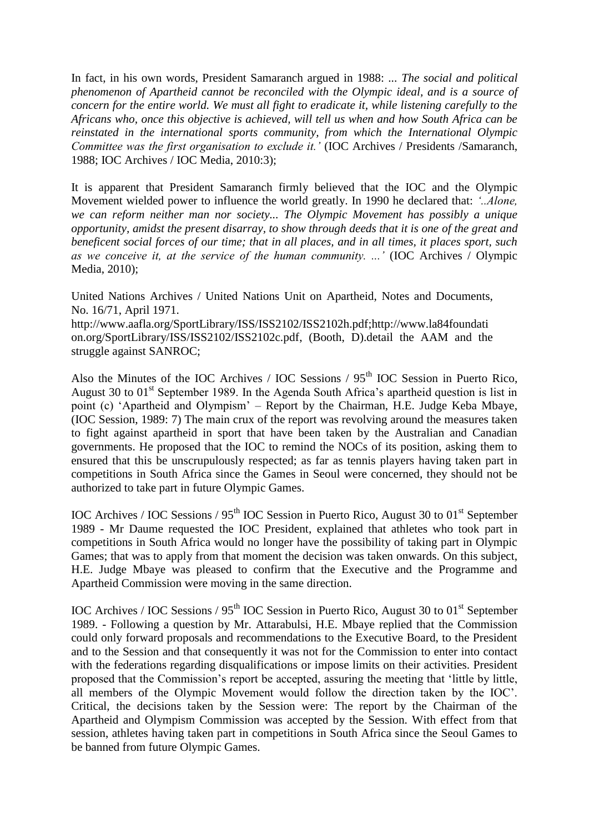In fact, in his own words, President Samaranch argued in 1988: *... The social and political phenomenon of Apartheid cannot be reconciled with the Olympic ideal, and is a source of concern for the entire world. We must all fight to eradicate it, while listening carefully to the Africans who, once this objective is achieved, will tell us when and how South Africa can be reinstated in the international sports community, from which the International Olympic Committee was the first organisation to exclude it."* (IOC Archives / Presidents /Samaranch, 1988; IOC Archives / IOC Media, 2010:3);

It is apparent that President Samaranch firmly believed that the IOC and the Olympic Movement wielded power to influence the world greatly. In 1990 he declared that: *"..Alone, we can reform neither man nor society... The Olympic Movement has possibly a unique opportunity, amidst the present disarray, to show through deeds that it is one of the great and beneficent social forces of our time; that in all places, and in all times, it places sport, such as we conceive it, at the service of the human community. ..."* (IOC Archives / Olympic Media, 2010);

United Nations Archives / United Nations Unit on Apartheid, Notes and Documents, No. 16/71, April 1971.

[http://www.aafla.org/SportLibrary/ISS/ISS2102/ISS2102h.pdf](http://www.aafla.org/SportsLibrary/ISS/ISS2102/ISS2102h.pdf)[;http://www.la84foundati](http://www.la84foundation.org/SportsLibrary/ISS/ISS2102/ISS2102c.pdf) [on.org/SportLibrary/ISS/ISS2102/ISS2102c.pdf,](http://www.la84foundation.org/SportsLibrary/ISS/ISS2102/ISS2102c.pdf) (Booth, D).detail the AAM and the struggle against SANROC;

Also the Minutes of the IOC Archives / IOC Sessions / 95<sup>th</sup> IOC Session in Puerto Rico, August 30 to  $01<sup>st</sup>$  September 1989. In the Agenda South Africa's apartheid question is list in point (c) "Apartheid and Olympism" – Report by the Chairman, H.E. Judge Keba Mbaye, (IOC Session, 1989: 7) The main crux of the report was revolving around the measures taken to fight against apartheid in sport that have been taken by the Australian and Canadian governments. He proposed that the IOC to remind the NOCs of its position, asking them to ensured that this be unscrupulously respected; as far as tennis players having taken part in competitions in South Africa since the Games in Seoul were concerned, they should not be authorized to take part in future Olympic Games.

IOC Archives / IOC Sessions /  $95<sup>th</sup>$  IOC Session in Puerto Rico, August 30 to  $01<sup>st</sup>$  September 1989 - Mr Daume requested the IOC President, explained that athletes who took part in competitions in South Africa would no longer have the possibility of taking part in Olympic Games; that was to apply from that moment the decision was taken onwards. On this subject, H.E. Judge Mbaye was pleased to confirm that the Executive and the Programme and Apartheid Commission were moving in the same direction.

IOC Archives / IOC Sessions /  $95<sup>th</sup>$  IOC Session in Puerto Rico, August 30 to  $01<sup>st</sup>$  September 1989. - Following a question by Mr. Attarabulsi, H.E. Mbaye replied that the Commission could only forward proposals and recommendations to the Executive Board, to the President and to the Session and that consequently it was not for the Commission to enter into contact with the federations regarding disqualifications or impose limits on their activities. President proposed that the Commission"s report be accepted, assuring the meeting that "little by little, all members of the Olympic Movement would follow the direction taken by the IOC". Critical, the decisions taken by the Session were: The report by the Chairman of the Apartheid and Olympism Commission was accepted by the Session. With effect from that session, athletes having taken part in competitions in South Africa since the Seoul Games to be banned from future Olympic Games.